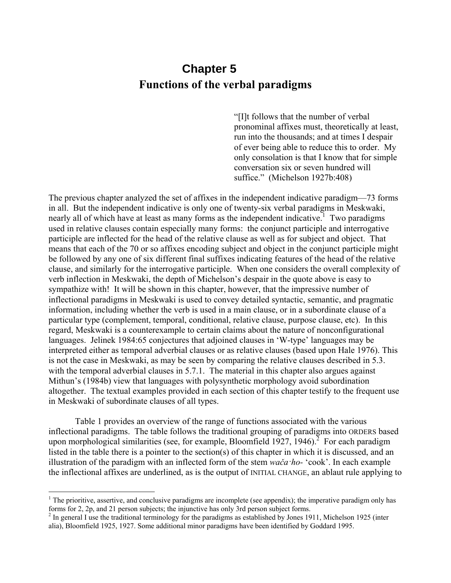# **Chapter 5 Functions of the verbal paradigms**

"[I]t follows that the number of verbal pronominal affixes must, theoretically at least, run into the thousands; and at times I despair of ever being able to reduce this to order. My only consolation is that I know that for simple conversation six or seven hundred will suffice." (Michelson 1927b:408)

The previous chapter analyzed the set of affixes in the independent indicative paradigm—73 forms in all. But the independent indicative is only one of twenty-six verbal paradigms in Meskwaki, nearly all of which have at least as many forms as the independent indicative.<sup>1</sup> Two paradigms used in relative clauses contain especially many forms: the conjunct participle and interrogative participle are inflected for the head of the relative clause as well as for subject and object. That means that each of the 70 or so affixes encoding subject and object in the conjunct participle might be followed by any one of six different final suffixes indicating features of the head of the relative clause, and similarly for the interrogative participle. When one considers the overall complexity of verb inflection in Meskwaki, the depth of Michelson's despair in the quote above is easy to sympathize with! It will be shown in this chapter, however, that the impressive number of inflectional paradigms in Meskwaki is used to convey detailed syntactic, semantic, and pragmatic information, including whether the verb is used in a main clause, or in a subordinate clause of a particular type (complement, temporal, conditional, relative clause, purpose clause, etc). In this regard, Meskwaki is a counterexample to certain claims about the nature of nonconfigurational languages. Jelinek 1984:65 conjectures that adjoined clauses in 'W-type' languages may be interpreted either as temporal adverbial clauses or as relative clauses (based upon Hale 1976). This is not the case in Meskwaki, as may be seen by comparing the relative clauses described in 5.3. with the temporal adverbial clauses in 5.7.1. The material in this chapter also argues against Mithun's (1984b) view that languages with polysynthetic morphology avoid subordination altogether. The textual examples provided in each section of this chapter testify to the frequent use in Meskwaki of subordinate clauses of all types.

Table 1 provides an overview of the range of functions associated with the various inflectional paradigms. The table follows the traditional grouping of paradigms into ORDERS based upon morphological similarities (see, for example, Bloomfield  $1927$ ,  $1946$ ).<sup>2</sup> For each paradigm listed in the table there is a pointer to the section(s) of this chapter in which it is discussed, and an illustration of the paradigm with an inflected form of the stem *wača·ho-* 'cook'. In each example the inflectional affixes are underlined, as is the output of INITIAL CHANGE, an ablaut rule applying to

<u>.</u>

 $<sup>1</sup>$  The prioritive, assertive, and conclusive paradigms are incomplete (see appendix); the imperative paradigm only has</sup> forms for 2, 2p, and 21 person subjects; the injunctive has only 3rd person subject forms.

 $2$  In general I use the traditional terminology for the paradigms as established by Jones 1911, Michelson 1925 (inter alia), Bloomfield 1925, 1927. Some additional minor paradigms have been identified by Goddard 1995.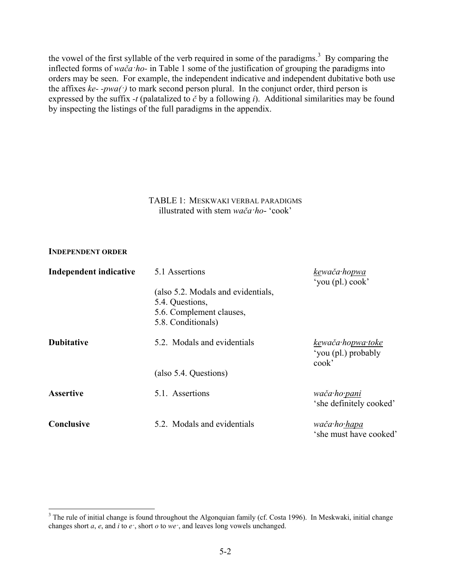the vowel of the first syllable of the verb required in some of the paradigms.<sup>3</sup> By comparing the inflected forms of *wača·ho-* in Table 1 some of the justification of grouping the paradigms into orders may be seen. For example, the independent indicative and independent dubitative both use the affixes  $ke$ - $pwa$ <sup> $\cdot$ </sup>) to mark second person plural. In the conjunct order, third person is expressed by the suffix *-t* (palatalized to *č* by a following *i*). Additional similarities may be found by inspecting the listings of the full paradigms in the appendix.

#### TABLE 1: MESKWAKI VERBAL PARADIGMS illustrated with stem *wača·ho*- 'cook'

#### **INDEPENDENT ORDER**

1

| Independent indicative | 5.1 Assertions                                                                                          | kewača hopwa<br>'you (pl.) cook'                    |
|------------------------|---------------------------------------------------------------------------------------------------------|-----------------------------------------------------|
|                        | (also 5.2. Modals and evidentials,<br>5.4. Questions,<br>5.6. Complement clauses,<br>5.8. Conditionals) |                                                     |
| <b>Dubitative</b>      | 5.2. Modals and evidentials                                                                             | kewača hopwa toke<br>'you (pl.) probably<br>$\cosh$ |
|                        | (also 5.4. Questions)                                                                                   |                                                     |
| <b>Assertive</b>       | 5.1. Assertions                                                                                         | wača·ho <u>·pani</u><br>'she definitely cooked'     |
| Conclusive             | 5.2. Modals and evidentials                                                                             | wača·ho <u>·hapa</u><br>'she must have cooked'      |

 $3$  The rule of initial change is found throughout the Algonquian family (cf. Costa 1996). In Meskwaki, initial change changes short *a*, *e*, and *i* to *e·*, short *o* to *we·*, and leaves long vowels unchanged.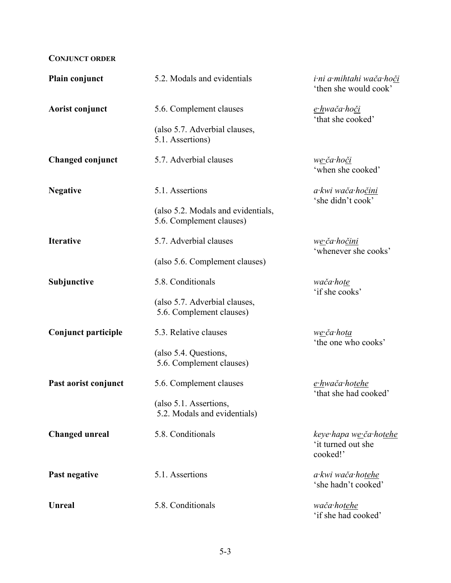# **CONJUNCT ORDER**

| Plain conjunct          | 5.2. Modals and evidentials                                    | i ni a mihtahi wača hoči<br>'then she would cook'                 |  |
|-------------------------|----------------------------------------------------------------|-------------------------------------------------------------------|--|
| Aorist conjunct         | 5.6. Complement clauses                                        | <u>e·h</u> wača·ho <u>či</u><br>'that she cooked'                 |  |
|                         | (also 5.7. Adverbial clauses,<br>5.1. Assertions)              |                                                                   |  |
| <b>Changed conjunct</b> | 5.7. Adverbial clauses                                         | we ča hoči<br>'when she cooked'                                   |  |
| <b>Negative</b>         | 5.1. Assertions                                                | a kwi wača ho <u>čini</u><br>'she didn't cook'                    |  |
|                         | (also 5.2. Modals and evidentials,<br>5.6. Complement clauses) |                                                                   |  |
| <b>Iterative</b>        | 5.7. Adverbial clauses                                         | w <u>e ča hočini</u><br>'whenever she cooks'                      |  |
|                         | (also 5.6. Complement clauses)                                 |                                                                   |  |
| Subjunctive             | 5.8. Conditionals                                              | wača hote<br>'if she cooks'                                       |  |
|                         | (also 5.7. Adverbial clauses,<br>5.6. Complement clauses)      |                                                                   |  |
| Conjunct participle     | 5.3. Relative clauses                                          | we·ča·hota<br>'the one who cooks'                                 |  |
|                         | (also 5.4. Questions,<br>5.6. Complement clauses)              |                                                                   |  |
| Past aorist conjunct    | 5.6. Complement clauses                                        | e hwača hotehe<br>'that she had cooked'                           |  |
|                         | (also 5.1. Assertions,<br>5.2. Modals and evidentials)         |                                                                   |  |
| <b>Changed unreal</b>   | 5.8. Conditionals                                              | keye hapa w <u>e č</u> a hotehe<br>'it turned out she<br>cooked!' |  |
| Past negative           | 5.1. Assertions                                                | a kwi wača hotehe<br>'she hadn't cooked'                          |  |
| <b>Unreal</b>           | 5.8. Conditionals                                              | wača hotehe<br>'if she had cooked'                                |  |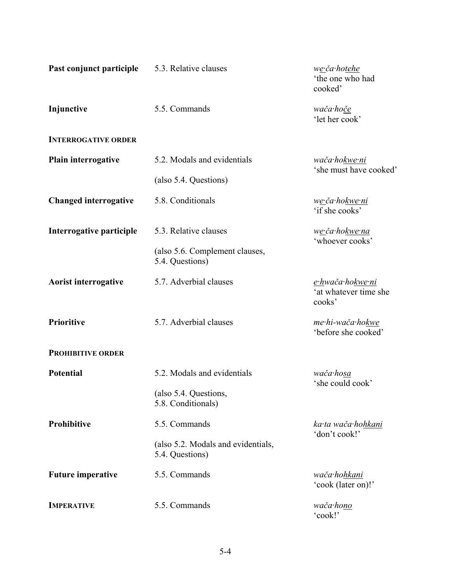| Past conjunct participle     | 5.3. Relative clauses                                 | we-ča-hotehe<br>'the one who had<br>cooked'                |
|------------------------------|-------------------------------------------------------|------------------------------------------------------------|
| Injunctive                   | 5.5. Commands                                         | wača hoče<br>'let her cook'                                |
| <b>INTERROGATIVE ORDER</b>   |                                                       |                                                            |
| Plain interrogative          | 5.2. Modals and evidentials                           | wača·hokwe·ni<br>'she must have cooked'                    |
|                              | (also 5.4. Questions)                                 |                                                            |
| <b>Changed interrogative</b> | 5.8. Conditionals                                     | w <u>e∙</u> ča∙ho <u>kwe∙ni</u><br>'if she cooks'          |
| Interrogative participle     | 5.3. Relative clauses                                 | w <u>e·</u> ča·ho <u>kwe·na</u><br>'whoever cooks'         |
|                              | (also 5.6. Complement clauses,<br>5.4. Questions)     |                                                            |
| <b>Aorist interrogative</b>  | 5.7. Adverbial clauses                                | <u>e hwača hokwe ni</u><br>'at whatever time she<br>cooks' |
| Prioritive                   | 5.7. Adverbial clauses                                | me·hi-wača·hokwe<br>'before she cooked'                    |
| <b>PROHIBITIVE ORDER</b>     |                                                       |                                                            |
| <b>Potential</b>             | 5.2. Modals and evidentials                           | wača·ho <u>sa</u><br>'she could cook'                      |
|                              | (also 5.4. Questions,<br>5.8. Conditionals)           |                                                            |
| Prohibitive                  | 5.5. Commands                                         | ka ta wača hohkani<br>'don't cook!'                        |
|                              | (also 5.2. Modals and evidentials,<br>5.4. Questions) |                                                            |
| <b>Future imperative</b>     | 5.5. Commands                                         | wača·hohkani<br>'cook (later on)!'                         |
| <b>IMPERATIVE</b>            | 5.5. Commands                                         | wača·hono<br>'cook!'                                       |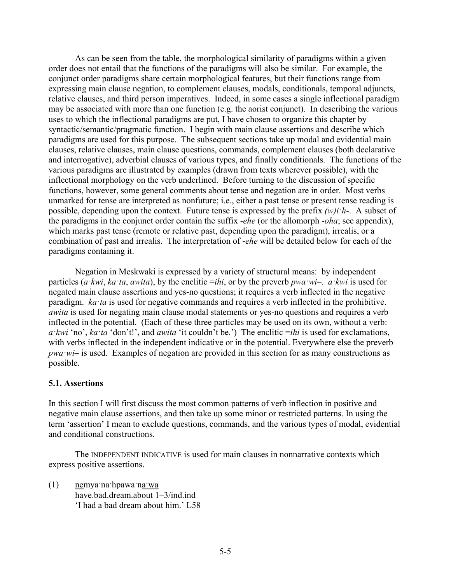As can be seen from the table, the morphological similarity of paradigms within a given order does not entail that the functions of the paradigms will also be similar. For example, the conjunct order paradigms share certain morphological features, but their functions range from expressing main clause negation, to complement clauses, modals, conditionals, temporal adjuncts, relative clauses, and third person imperatives. Indeed, in some cases a single inflectional paradigm may be associated with more than one function (e.g. the aorist conjunct). In describing the various uses to which the inflectional paradigms are put, I have chosen to organize this chapter by syntactic/semantic/pragmatic function. I begin with main clause assertions and describe which paradigms are used for this purpose. The subsequent sections take up modal and evidential main clauses, relative clauses, main clause questions, commands, complement clauses (both declarative and interrogative), adverbial clauses of various types, and finally conditionals. The functions of the various paradigms are illustrated by examples (drawn from texts wherever possible), with the inflectional morphology on the verb underlined. Before turning to the discussion of specific functions, however, some general comments about tense and negation are in order. Most verbs unmarked for tense are interpreted as nonfuture; i.e., either a past tense or present tense reading is possible, depending upon the context. Future tense is expressed by the prefix *(w)i·h*-. A subset of the paradigms in the conjunct order contain the suffix -*ehe* (or the allomorph -*oha*; see appendix), which marks past tense (remote or relative past, depending upon the paradigm), irrealis, or a combination of past and irrealis. The interpretation of -*ehe* will be detailed below for each of the paradigms containing it.

Negation in Meskwaki is expressed by a variety of structural means: by independent particles (*a ·kwi*, *ka ·ta*, *awita*), by the enclitic =*ihi*, or by the preverb *pwa ·wi*–. *a ·kwi* is used for negated main clause assertions and yes-no questions; it requires a verb inflected in the negative paradigm. *ka·ta* is used for negative commands and requires a verb inflected in the prohibitive. *awita* is used for negating main clause modal statements or yes-no questions and requires a verb inflected in the potential. (Each of these three particles may be used on its own, without a verb:  $a$ *·kwi* 'no', *ka·ta* 'don't!', and *awita* 'it couldn't be.') The enclitic =*ihi* is used for exclamations, with verbs inflected in the independent indicative or in the potential. Everywhere else the preverb *pwa·wi–* is used. Examples of negation are provided in this section for as many constructions as possible.

#### **5.1. Assertions**

In this section I will first discuss the most common patterns of verb inflection in positive and negative main clause assertions, and then take up some minor or restricted patterns. In using the term 'assertion' I mean to exclude questions, commands, and the various types of modal, evidential and conditional constructions.

The INDEPENDENT INDICATIVE is used for main clauses in nonnarrative contexts which express positive assertions.

(1) nemya·na·hpawa·na·wa have.bad.dream.about 1–3/ind.ind 'I had a bad dream about him.' L58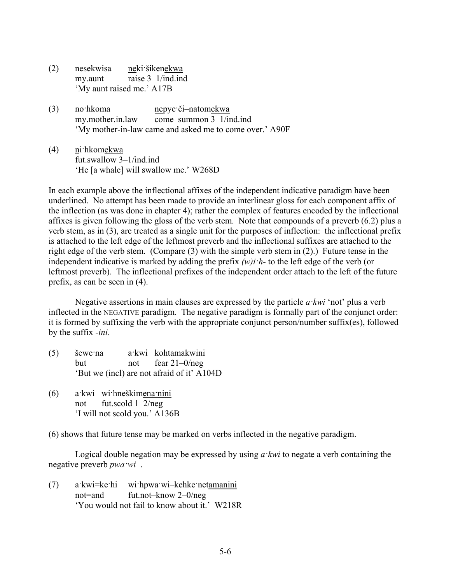- (2) nesekwisa neki·šikenekwa my.aunt raise 3–1/ind.ind 'My aunt raised me.' A17B
- (3) no·hkoma nepye·či-natomekwa my.mother.in.law come–summon 3–1/ind.ind 'My mother-in-law came and asked me to come over.' A90F
- (4) ni·hkomekwa fut.swallow 3–1/ind.ind 'He [a whale] will swallow me.' W268D

In each example above the inflectional affixes of the independent indicative paradigm have been underlined. No attempt has been made to provide an interlinear gloss for each component affix of the inflection (as was done in chapter 4); rather the complex of features encoded by the inflectional affixes is given following the gloss of the verb stem. Note that compounds of a preverb (6.2) plus a verb stem, as in (3), are treated as a single unit for the purposes of inflection: the inflectional prefix is attached to the left edge of the leftmost preverb and the inflectional suffixes are attached to the right edge of the verb stem. (Compare (3) with the simple verb stem in (2).) Future tense in the independent indicative is marked by adding the prefix *(w)i·h*- to the left edge of the verb (or leftmost preverb). The inflectional prefixes of the independent order attach to the left of the future prefix, as can be seen in (4).

Negative assertions in main clauses are expressed by the particle *a·kwi* 'not' plus a verb inflected in the NEGATIVE paradigm. The negative paradigm is formally part of the conjunct order: it is formed by suffixing the verb with the appropriate conjunct person/number suffix(es), followed by the suffix -*ini*.

- (5) šewe·na a·kwi kohtamakwini but not fear 21–0/neg 'But we (incl) are not afraid of it' A104D
- (6) a·kwi wi·hneškimena·nini not fut.scold 1–2/neg 'I will not scold you.' A136B

(6) shows that future tense may be marked on verbs inflected in the negative paradigm.

Logical double negation may be expressed by using *a·kwi* to negate a verb containing the negative preverb *pwa·wi*–.

(7) a·kwi=ke·hi wi·hpwa·wi–kehke·netamanini not=and fut.not–know 2–0/neg 'You would not fail to know about it.' W218R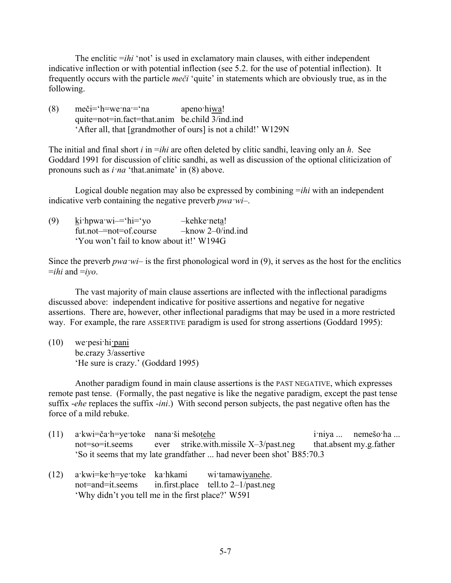The enclitic *=ihi* 'not' is used in exclamatory main clauses, with either independent indicative inflection or with potential inflection (see 5.2. for the use of potential inflection). It frequently occurs with the particle *meči* 'quite' in statements which are obviously true, as in the following.

(8) meči='h=we·na·='na apeno·hiwa! quite=not=in.fact=that.anim be.child 3/ind.ind 'After all, that [grandmother of ours] is not a child!' W129N

The initial and final short *i* in =*ihi* are often deleted by clitic sandhi, leaving only an *h*. See Goddard 1991 for discussion of clitic sandhi, as well as discussion of the optional cliticization of pronouns such as *i·na* 'that.animate' in (8) above.

Logical double negation may also be expressed by combining =*ihi* with an independent indicative verb containing the negative preverb *pwa·wi*–.

(9) ki $\cdot$ hpwa $\cdot$ wi $=$  $\cdot$ hi $=$  $\cdot$ yo –kehke $\cdot$ neta! fut.not–=not=of.course –know 2–0/ind.ind 'You won't fail to know about it!' W194G

Since the preverb *pwa*  $wi$ – is the first phonological word in (9), it serves as the host for the enclitics  $=ihi$  and  $=ivo$ .

The vast majority of main clause assertions are inflected with the inflectional paradigms discussed above: independent indicative for positive assertions and negative for negative assertions. There are, however, other inflectional paradigms that may be used in a more restricted way. For example, the rare ASSERTIVE paradigm is used for strong assertions (Goddard 1995):

(10) we·pesi·hi·pani be.crazy 3/assertive 'He sure is crazy.' (Goddard 1995)

Another paradigm found in main clause assertions is the PAST NEGATIVE, which expresses remote past tense. (Formally, the past negative is like the negative paradigm, except the past tense suffix -*ehe* replaces the suffix -*ini*.) With second person subjects, the past negative often has the force of a mild rebuke.

- (11) a·kwi=ča·h=ye·toke nana·ši mešotehe i·niya ... nemešo·ha ... not=so=it.seems ever strike.with.missile X–3/past.neg that.absent my.g.father 'So it seems that my late grandfather ... had never been shot' B85:70.3
- (12) a·kwi=ke·h=ye·toke ka·hkami wi·tamawiyanehe. not=and=it.seems in.first.place tell.to 2–1/past.neg 'Why didn't you tell me in the first place?' W591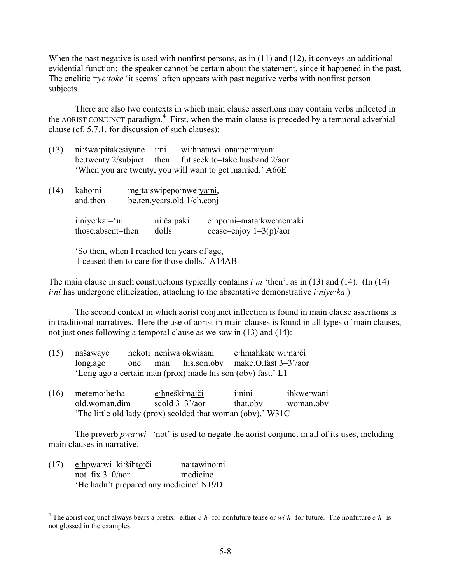When the past negative is used with nonfirst persons, as in (11) and (12), it conveys an additional evidential function: the speaker cannot be certain about the statement, since it happened in the past. The enclitic =*ye·toke* 'it seems' often appears with past negative verbs with nonfirst person subjects.

There are also two contexts in which main clause assertions may contain verbs inflected in the AORIST CONJUNCT paradigm.<sup>4</sup> First, when the main clause is preceded by a temporal adverbial clause (cf. 5.7.1. for discussion of such clauses):

| (13) | ni šwa pitakesiyane                           | <i>i</i> ni                | wi hnatawi-ona pe miyani                                  |
|------|-----------------------------------------------|----------------------------|-----------------------------------------------------------|
|      | be twenty 2/subjnct                           | then                       | fut.seek.to-take.husband 2/aor                            |
|      |                                               |                            | 'When you are twenty, you will want to get married.' A66E |
| (14) | kaho ni                                       | me ta swipepo nwe ya ni,   |                                                           |
|      | and then                                      | be.ten.years.old 1/ch.conj |                                                           |
|      |                                               |                            |                                                           |
|      | iniye ka = 'ni                                | ni ča paki                 | e hpo ni-mata kwe nemaki                                  |
|      | those.absent=then                             | dolls                      | cease-enjoy $1-3(p)/a$ or                                 |
|      | 'So then, when I reached ten years of age,    |                            |                                                           |
|      | I ceased then to care for those dolls.' A14AB |                            |                                                           |
|      |                                               |                            |                                                           |

The main clause in such constructions typically contains *i·ni* 'then', as in (13) and (14). (In (14) *i·ni* has undergone cliticization, attaching to the absentative demonstrative *i·niye·ka*.)

The second context in which aorist conjunct inflection is found in main clause assertions is in traditional narratives. Here the use of aorist in main clauses is found in all types of main clauses, not just ones following a temporal clause as we saw in (13) and (14):

| $(15)$ našawaye |  | nekoti neniwa okwisani | e hmahkate wi na či                                         |
|-----------------|--|------------------------|-------------------------------------------------------------|
| long.ago        |  |                        | one man his.son.oby make.O.fast $3-3^2$ /aor                |
|                 |  |                        | 'Long ago a certain man (prox) made his son (obv) fast.' L1 |

| $(16)$ metemo he ha | e hneškima či                                              | <i>i</i> -nini | ihkwe wani |
|---------------------|------------------------------------------------------------|----------------|------------|
| old woman dim       | scold $3-3^2/$ aor                                         | that oby       | woman.oby  |
|                     | The little old lady (prox) scolded that woman (obv).' W31C |                |            |

The preverb *pwa wi*– 'not' is used to negate the aorist conjunct in all of its uses, including main clauses in narrative.

(17) e·hpwa·wi–ki·šihto·či na·tawino·ni not–fix 3–0/aor medicine 'He hadn't prepared any medicine' N19D

 4 The aorist conjunct always bears a prefix: either *e·h*- for nonfuture tense or *wi·h*- for future. The nonfuture *e·h*- is not glossed in the examples.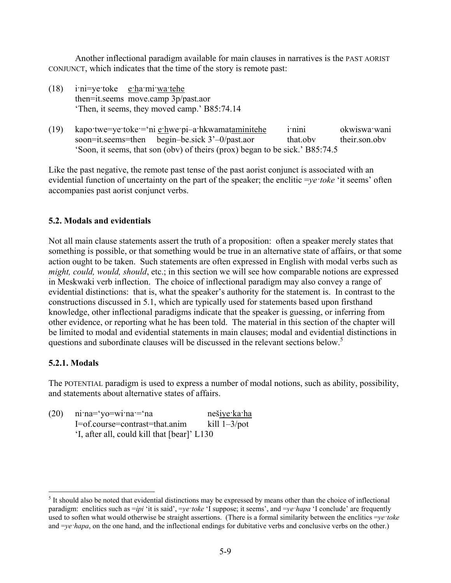Another inflectional paradigm available for main clauses in narratives is the PAST AORIST CONJUNCT, which indicates that the time of the story is remote past:

- (18) i·ni=ye·toke e·ha·mi·wa·tehe then=it.seems move.camp 3p/past.aor 'Then, it seems, they moved camp.' B85:74.14
- (19) kapo·twe=ye·toke·=·ni e·hwe·pi-a·hkwamataminitehe i·nini okwiswa·wani soon=it.seems=then begin–be.sick 3'–0/past.aor that.obv their.son.obv 'Soon, it seems, that son (obv) of theirs (prox) began to be sick.' B85:74.5

Like the past negative, the remote past tense of the past aorist conjunct is associated with an evidential function of uncertainty on the part of the speaker; the enclitic =*ye·toke* 'it seems' often accompanies past aorist conjunct verbs.

## **5.2. Modals and evidentials**

Not all main clause statements assert the truth of a proposition: often a speaker merely states that something is possible, or that something would be true in an alternative state of affairs, or that some action ought to be taken. Such statements are often expressed in English with modal verbs such as *might, could, would, should, etc.; in this section we will see how comparable notions are expressed* in Meskwaki verb inflection. The choice of inflectional paradigm may also convey a range of evidential distinctions: that is, what the speaker's authority for the statement is. In contrast to the constructions discussed in 5.1, which are typically used for statements based upon firsthand knowledge, other inflectional paradigms indicate that the speaker is guessing, or inferring from other evidence, or reporting what he has been told. The material in this section of the chapter will be limited to modal and evidential statements in main clauses; modal and evidential distinctions in questions and subordinate clauses will be discussed in the relevant sections below.<sup>5</sup>

## **5.2.1. Modals**

<u>.</u>

The POTENTIAL paradigm is used to express a number of modal notions, such as ability, possibility, and statements about alternative states of affairs.

| (20) | $ni'na = 'yo = wi'na' = 'na$                | neš <u>iye ka ha</u> |
|------|---------------------------------------------|----------------------|
|      | I=of.course=contrast=that.anim              | kill $1-3$ /pot      |
|      | 'I, after all, could kill that [bear]' L130 |                      |

 $<sup>5</sup>$  It should also be noted that evidential distinctions may be expressed by means other than the choice of inflectional</sup> paradigm: enclitics such as =*ipi* 'it is said', =*ye·toke* 'I suppose; it seems', and =*ye·hapa* 'I conclude' are frequently used to soften what would otherwise be straight assertions. (There is a formal similarity between the enclitics =*ye·toke* and =*ye·hapa*, on the one hand, and the inflectional endings for dubitative verbs and conclusive verbs on the other.)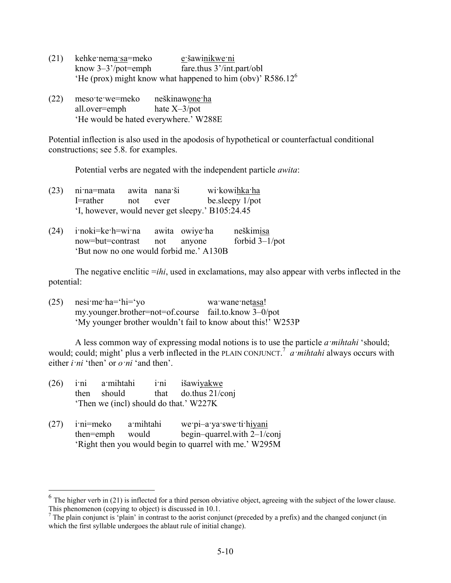- (21) kehke·nema·sa=meko e·šawinikwe·ni know 3–3'/pot=emph fare.thus 3'/int.part/obl 'He (prox) might know what happened to him (obv)'  $R586.12^6$
- (22) meso·te·we=meko neškinawone·ha all.over=emph hate X–3/pot 'He would be hated everywhere.' W288E

Potential inflection is also used in the apodosis of hypothetical or counterfactual conditional constructions; see 5.8. for examples.

Potential verbs are negated with the independent particle *awita*:

| $(23)$ ni:na=mata |          | awita nana ši | wi kowihka ha                                    |
|-------------------|----------|---------------|--------------------------------------------------|
| I=rather          | not ever |               | be sleepy 1/pot                                  |
|                   |          |               | 'I, however, would never get sleepy.' B105:24.45 |

| $(24)$ imoki=ke h=wima awita owiye ha   |  | neškimisa         |
|-----------------------------------------|--|-------------------|
| now=but=contrast not anyone             |  | forbid $3-1$ /pot |
| 'But now no one would forbid me.' A130B |  |                   |

The negative enclitic =*ihi*, used in exclamations, may also appear with verbs inflected in the potential:

(25) nesi·me·ha='hi='yo wa·wane·netasa! my.younger.brother=not=of.course fail.to.know 3–0/pot 'My younger brother wouldn't fail to know about this!' W253P

A less common way of expressing modal notions is to use the particle *a·mihtahi* 'should; would; could; might' plus a verb inflected in the PLAIN CONJUNCT. 7 *a·mihtahi* always occurs with either  $i \cdot ni \cdot$  then' or  $o \cdot ni \cdot$  and then'.

| (26) | i'ni a'mihtahi<br>then<br>should       | ini išawiyakwe<br>that do.thus $21/c$ onj<br>'Then we (incl) should do that.' W227K                                  |
|------|----------------------------------------|----------------------------------------------------------------------------------------------------------------------|
| (27) | i:ni=meko a:mihtahi<br>then=emph would | we pi-a ya swe ti hiyani<br>begin-quarrel with $2-1$ /conj<br>'Right then you would begin to quarrel with me.' W295M |

<u>.</u>

 $6$  The higher verb in (21) is inflected for a third person obviative object, agreeing with the subject of the lower clause. This phenomenon (copying to object) is discussed in 10.1.

 $<sup>7</sup>$  The plain conjunct is 'plain' in contrast to the aorist conjunct (preceded by a prefix) and the changed conjunct (in</sup> which the first syllable undergoes the ablaut rule of initial change).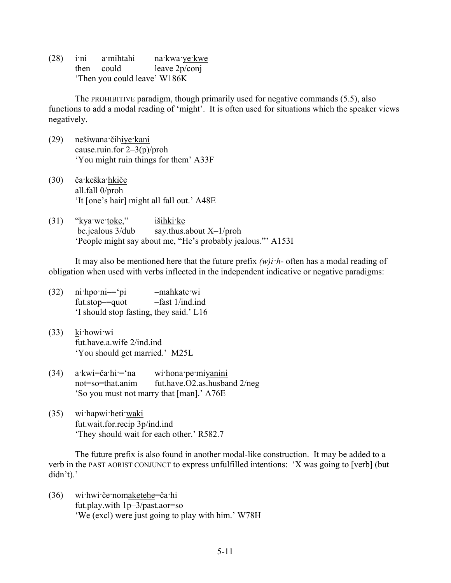(28) i·ni a·mihtahi na·kwa·ye·kwe then could leave 2p/conj 'Then you could leave' W186K

The PROHIBITIVE paradigm, though primarily used for negative commands (5.5), also functions to add a modal reading of 'might'. It is often used for situations which the speaker views negatively.

- (29) nešiwana·čihiye·kani cause.ruin.for 2–3(p)/proh 'You might ruin things for them' A33F
- (30) ča·keška·hkiče all.fall 0/proh 'It [one's hair] might all fall out.' A48E
- (31) "kya·we·toke," išihki·ke be.jealous 3/dub say.thus.about X–1/proh 'People might say about me, "He's probably jealous."' A153I

It may also be mentioned here that the future prefix *(w)i·h*- often has a modal reading of obligation when used with verbs inflected in the independent indicative or negative paradigms:

- (32) ni·hpo·ni–='pi –mahkate·wi fut.stop–=quot –fast 1/ind.ind 'I should stop fasting, they said.' L16
- (33) ki·howi·wi fut.have.a.wife 2/ind.ind 'You should get married.' M25L
- (34) a·kwi=ča·hi·='na wi·hona·pe·miyanini not=so=that.anim fut.have.O2.as.husband 2/neg 'So you must not marry that [man].' A76E
- (35) wi·hapwi·heti·waki fut.wait.for.recip 3p/ind.ind 'They should wait for each other.' R582.7

The future prefix is also found in another modal-like construction. It may be added to a verb in the PAST AORIST CONJUNCT to express unfulfilled intentions: 'X was going to [verb] (but didn't).'

(36) wi·hwi·če·nomaketehe=ča·hi fut.play.with 1p–3/past.aor=so 'We (excl) were just going to play with him.' W78H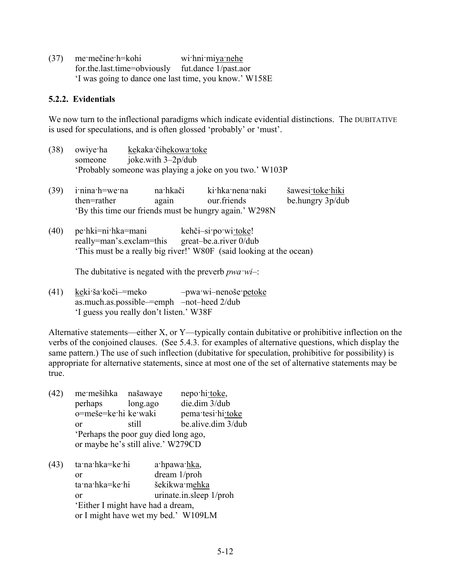(37) me·mečine·h=kohi wi·hni·miya·nehe for.the.last.time=obviously fut.dance 1/past.aor 'I was going to dance one last time, you know.' W158E

### **5.2.2. Evidentials**

We now turn to the inflectional paradigms which indicate evidential distinctions. The DUBITATIVE is used for speculations, and is often glossed 'probably' or 'must'.

- (38) owiye·ha kekaka·čihekowa·toke someone joke.with 3–2p/dub 'Probably someone was playing a joke on you two.' W103P
- (39) i·nina·h=we·na na·hkači ki·hka·nena·naki šawesi·toke·hiki then=rather again our.friends be.hungry 3p/dub 'By this time our friends must be hungry again.' W298N
- (40) pe·hki=ni·hka=mani kehči–si·po·wi·toke! really=man's.exclam=this great–be.a.river 0/dub 'This must be a really big river!' W80F (said looking at the ocean)

The dubitative is negated with the preverb *pwa·wi*–:

(41) keki·ša·koči–=meko –pwa·wi–nenoše·petoke as.much.as.possible–=emph –not–heed 2/dub 'I guess you really don't listen.' W38F

Alternative statements—either X, or Y—typically contain dubitative or prohibitive inflection on the verbs of the conjoined clauses. (See 5.4.3. for examples of alternative questions, which display the same pattern.) The use of such inflection (dubitative for speculation, prohibitive for possibility) is appropriate for alternative statements, since at most one of the set of alternative statements may be true.

| (42) | me·mešihka našawaye                 |                                    | nepo hi toke,      |  |  |
|------|-------------------------------------|------------------------------------|--------------------|--|--|
|      | perhaps                             | long.ago                           | die.dim 3/dub      |  |  |
|      | o=meše=ke·hi ke·waki                |                                    | pema·tesi·hi·toke  |  |  |
|      | or                                  | still                              | be alive dim 3/dub |  |  |
|      | Perhaps the poor guy died long ago, |                                    |                    |  |  |
|      |                                     | or maybe he's still alive.' W279CD |                    |  |  |

(43) ta·na·hka=ke·hi a·hpawa·hka, or dream 1/proh ta·na·hka=ke·hi šekikwa·mehka or urinate.in.sleep 1/proh 'Either I might have had a dream, or I might have wet my bed.' W109LM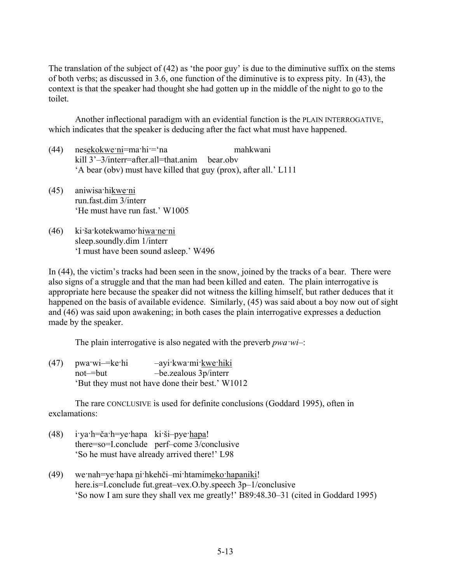The translation of the subject of (42) as 'the poor guy' is due to the diminutive suffix on the stems of both verbs; as discussed in 3.6, one function of the diminutive is to express pity. In (43), the context is that the speaker had thought she had gotten up in the middle of the night to go to the toilet.

Another inflectional paradigm with an evidential function is the PLAIN INTERROGATIVE, which indicates that the speaker is deducing after the fact what must have happened.

- (44) nesekokwe·ni=ma·hi·='na mahkwani kill 3'–3/interr=after.all=that.anim bear.obv 'A bear (obv) must have killed that guy (prox), after all.' L111
- (45) aniwisa·hikwe·ni run.fast.dim 3/interr 'He must have run fast.' W1005
- (46) ki·ša·kotekwamo·hiwa·ne·ni sleep.soundly.dim 1/interr 'I must have been sound asleep.' W496

In (44), the victim's tracks had been seen in the snow, joined by the tracks of a bear. There were also signs of a struggle and that the man had been killed and eaten. The plain interrogative is appropriate here because the speaker did not witness the killing himself, but rather deduces that it happened on the basis of available evidence. Similarly, (45) was said about a boy now out of sight and (46) was said upon awakening; in both cases the plain interrogative expresses a deduction made by the speaker.

The plain interrogative is also negated with the preverb *pwa·wi*–:

(47) pwa·wi-=ke·hi -ayi·kwa·mi·kwe·hiki not–=but –be.zealous 3p/interr 'But they must not have done their best.' W1012

The rare CONCLUSIVE is used for definite conclusions (Goddard 1995), often in exclamations:

- (48) i·ya·h=ča·h=ye·hapa ki·ši–pye·hapa! there=so=I.conclude perf–come 3/conclusive 'So he must have already arrived there!' L98
- (49) we·nah=ye·hapa ni·hkehči–mi·htamimeko·hapaniki! here.is=I.conclude fut.great–vex.O.by.speech 3p–1/conclusive 'So now I am sure they shall vex me greatly!' B89:48.30–31 (cited in Goddard 1995)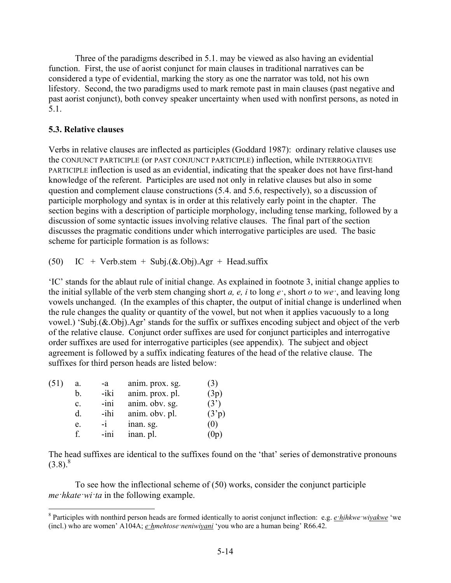Three of the paradigms described in 5.1. may be viewed as also having an evidential function. First, the use of aorist conjunct for main clauses in traditional narratives can be considered a type of evidential, marking the story as one the narrator was told, not his own lifestory. Second, the two paradigms used to mark remote past in main clauses (past negative and past aorist conjunct), both convey speaker uncertainty when used with nonfirst persons, as noted in 5.1.

## **5.3. Relative clauses**

Verbs in relative clauses are inflected as participles (Goddard 1987): ordinary relative clauses use the CONJUNCT PARTICIPLE (or PAST CONJUNCT PARTICIPLE) inflection, while INTERROGATIVE PARTICIPLE inflection is used as an evidential, indicating that the speaker does not have first-hand knowledge of the referent. Participles are used not only in relative clauses but also in some question and complement clause constructions (5.4. and 5.6, respectively), so a discussion of participle morphology and syntax is in order at this relatively early point in the chapter. The section begins with a description of participle morphology, including tense marking, followed by a discussion of some syntactic issues involving relative clauses. The final part of the section discusses the pragmatic conditions under which interrogative participles are used. The basic scheme for participle formation is as follows:

(50) IC + Verb.stem + Subj. $(\&$ .Obj).Agr + Head.suffix

'IC' stands for the ablaut rule of initial change. As explained in footnote 3, initial change applies to the initial syllable of the verb stem changing short *a, e, i* to long *e·*, short *o* to *we·*, and leaving long vowels unchanged. (In the examples of this chapter, the output of initial change is underlined when the rule changes the quality or quantity of the vowel, but not when it applies vacuously to a long vowel.) 'Subj.(&.Obj).Agr' stands for the suffix or suffixes encoding subject and object of the verb of the relative clause. Conjunct order suffixes are used for conjunct participles and interrogative order suffixes are used for interrogative participles (see appendix). The subject and object agreement is followed by a suffix indicating features of the head of the relative clause. The suffixes for third person heads are listed below:

| (51) | a.             | -a     | anim. prox. sg. |                    |
|------|----------------|--------|-----------------|--------------------|
|      | b.             | -iki   | anim. prox. pl. | (3p)               |
|      | $\mathbf{c}$ . | -ini   | anim. obv. sg.  | (3')               |
|      | d.             | -ihi   | anim. obv. pl.  | (3 <sup>3</sup> p) |
|      | e.             | $-1$   | inan. sg.       | ΙU                 |
|      |                | $-ini$ | inan. pl.       |                    |

The head suffixes are identical to the suffixes found on the 'that' series of demonstrative pronouns  $(3.8)^8$ 

To see how the inflectional scheme of (50) works, consider the conjunct participle *me·hkate·wi·ta* in the following example.

 8 Participles with nonthird person heads are formed identically to aorist conjunct inflection: e.g. *e·hihkwe·wiyakwe* 'we (incl.) who are women' A104A; *e·hmehtose·neniwiyani* 'you who are a human being' R66.42.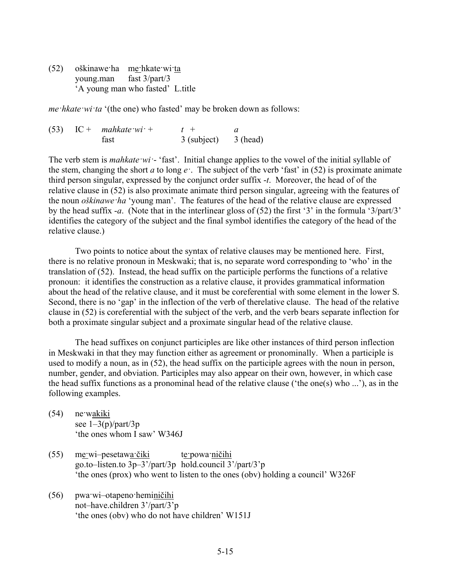(52) oškinawe·ha me·hkate·wi·ta young.man fast 3/part/3 'A young man who fasted' L.title

*me·hkate·wi·ta* '(the one) who fasted' may be broken down as follows:

|  | $(53)$ IC + mahkate wi + | $t +$       |          |  |
|--|--------------------------|-------------|----------|--|
|  | fast                     | 3 (subject) | 3 (head) |  |

The verb stem is *mahkate ·wi* · 'fast'. Initial change applies to the vowel of the initial syllable of the stem, changing the short *a* to long  $e^$ . The subject of the verb 'fast' in (52) is proximate animate third person singular, expressed by the conjunct order suffix -*t*. Moreover, the head of of the relative clause in (52) is also proximate animate third person singular, agreeing with the features of the noun *oškinawe·ha* 'young man'. The features of the head of the relative clause are expressed by the head suffix -*a*. (Note that in the interlinear gloss of (52) the first '3' in the formula '3/part/3' identifies the category of the subject and the final symbol identifies the category of the head of the relative clause.)

Two points to notice about the syntax of relative clauses may be mentioned here. First, there is no relative pronoun in Meskwaki; that is, no separate word corresponding to 'who' in the translation of (52). Instead, the head suffix on the participle performs the functions of a relative pronoun: it identifies the construction as a relative clause, it provides grammatical information about the head of the relative clause, and it must be coreferential with some element in the lower S. Second, there is no 'gap' in the inflection of the verb of therelative clause. The head of the relative clause in (52) is coreferential with the subject of the verb, and the verb bears separate inflection for both a proximate singular subject and a proximate singular head of the relative clause.

The head suffixes on conjunct participles are like other instances of third person inflection in Meskwaki in that they may function either as agreement or pronominally. When a participle is used to modify a noun, as in (52), the head suffix on the participle agrees with the noun in person, number, gender, and obviation. Participles may also appear on their own, however, in which case the head suffix functions as a pronominal head of the relative clause ('the one(s) who ...'), as in the following examples.

- (54) ne·wakiki see  $1-3(p)/part/3p$ 'the ones whom I saw' W346J
- (55) me·wi–pesetawa·čiki te·powa·ničihi go.to–listen.to 3p–3'/part/3p hold.council 3'/part/3'p 'the ones (prox) who went to listen to the ones (obv) holding a council' W326F
- (56) pwa·wi–otapeno·heminičihi not–have.children 3'/part/3'p 'the ones (obv) who do not have children' W151J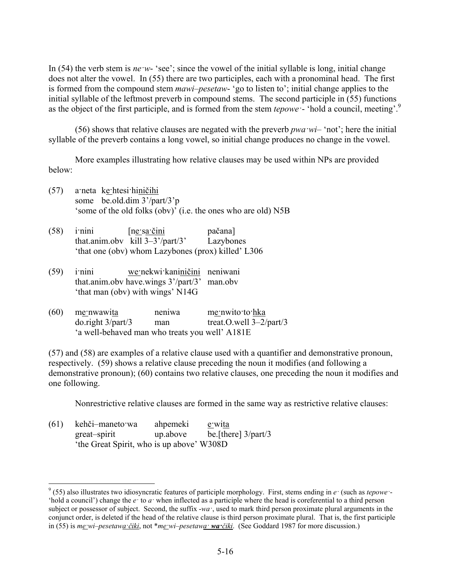In (54) the verb stem is *ne*  $w$ - 'see'; since the vowel of the initial syllable is long, initial change does not alter the vowel. In (55) there are two participles, each with a pronominal head. The first is formed from the compound stem *mawi–pesetaw*- 'go to listen to'; initial change applies to the initial syllable of the leftmost preverb in compound stems. The second participle in (55) functions as the object of the first participle, and is formed from the stem *tepowe·*- 'hold a council, meeting'.9

(56) shows that relative clauses are negated with the preverb  $pwa·wi-$  'not'; here the initial syllable of the preverb contains a long vowel, so initial change produces no change in the vowel.

More examples illustrating how relative clauses may be used within NPs are provided below:

- (57) a·neta ke·htesi·hiničihi some be.old.dim 3'/part/3'p 'some of the old folks (obv)' (i.e. the ones who are old) N5B
- (58) i·nini [ne·sa·čini pačana] that.anim.obv kill 3–3'/part/3' Lazybones 'that one (obv) whom Lazybones (prox) killed' L306
- (59) i·nini we·nekwi·kaniničini neniwani that.anim.obv have.wings 3'/part/3' man.obv 'that man (obv) with wings' N14G
- (60) me·nwawita neniwa me·nwito·to·hka do.right 3/part/3 man treat.O.well 3–2/part/3 'a well-behaved man who treats you well' A181E

(57) and (58) are examples of a relative clause used with a quantifier and demonstrative pronoun, respectively. (59) shows a relative clause preceding the noun it modifies (and following a demonstrative pronoun); (60) contains two relative clauses, one preceding the noun it modifies and one following.

Nonrestrictive relative clauses are formed in the same way as restrictive relative clauses:

| (61) | kehči-maneto wa                           | ahpemeki | e wita                 |
|------|-------------------------------------------|----------|------------------------|
|      | great-spirit                              | up.above | be [there] $3$ /part/3 |
|      | 'the Great Spirit, who is up above' W308D |          |                        |

1

<sup>9</sup> (55) also illustrates two idiosyncratic features of participle morphology. First, stems ending in *e·* (such as *tepowe·*- 'hold a council') change the *e·* to *a·* when inflected as a participle where the head is coreferential to a third person subject or possessor of subject. Second, the suffix -*wa·*, used to mark third person proximate plural arguments in the conjunct order, is deleted if the head of the relative clause is third person proximate plural. That is, the first participle in (55) is  $m\underline{e\nu}$ *wi–pesetaw<u>a·čiki</u>*, not \* $m\underline{e\nu}$ *wi–pesetawa*  $\nu$ *wa·čiki*. (See Goddard 1987 for more discussion.)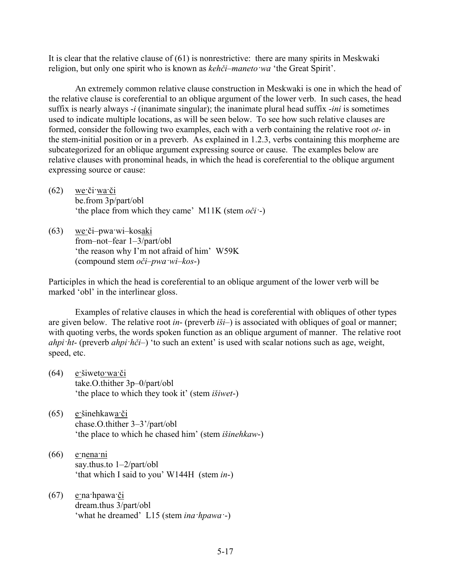It is clear that the relative clause of (61) is nonrestrictive: there are many spirits in Meskwaki religion, but only one spirit who is known as *kehči–maneto·wa* 'the Great Spirit'.

An extremely common relative clause construction in Meskwaki is one in which the head of the relative clause is coreferential to an oblique argument of the lower verb. In such cases, the head suffix is nearly always -*i* (inanimate singular); the inanimate plural head suffix -*ini* is sometimes used to indicate multiple locations, as will be seen below. To see how such relative clauses are formed, consider the following two examples, each with a verb containing the relative root *ot*- in the stem-initial position or in a preverb. As explained in 1.2.3, verbs containing this morpheme are subcategorized for an oblique argument expressing source or cause. The examples below are relative clauses with pronominal heads, in which the head is coreferential to the oblique argument expressing source or cause:

- $(62)$  we či wa či be.from 3p/part/obl 'the place from which they came' M11K (stem *oči·*-)
- (63) we·či–pwa·wi–kosaki from–not–fear 1–3/part/obl 'the reason why I'm not afraid of him' W59K (compound stem *oči–pwa·wi–kos*-)

Participles in which the head is coreferential to an oblique argument of the lower verb will be marked 'obl' in the interlinear gloss.

Examples of relative clauses in which the head is coreferential with obliques of other types are given below. The relative root *in*- (preverb *iši*–) is associated with obliques of goal or manner; with quoting verbs, the words spoken function as an oblique argument of manner. The relative root *ahpi·ht*- (preverb *ahpi·hči*–) 'to such an extent' is used with scalar notions such as age, weight, speed, etc.

- (64) e·šiweto·wa·či take.O.thither 3p–0/part/obl 'the place to which they took it' (stem *išiwet*-)
- (65) e·šinehkawa·či chase.O.thither 3–3'/part/obl 'the place to which he chased him' (stem *išinehkaw*-)
- $(66)$  e·nena·ni say.thus.to 1–2/part/obl 'that which I said to you' W144H (stem *in*-)
- (67) e·na·hpawa·či dream.thus 3/part/obl 'what he dreamed' L15 (stem *ina·hpawa·*-)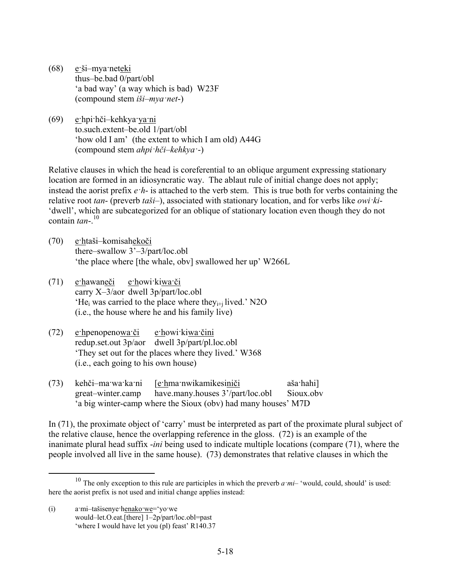- (68) e·ši–mya·neteki thus–be.bad 0/part/obl 'a bad way' (a way which is bad) W23F (compound stem *iši–mya·net*-)
- (69) e·hpi·hči–kehkya·ya·ni to.such.extent–be.old 1/part/obl 'how old I am' (the extent to which I am old) A44G (compound stem *ahpi·hči–kehkya·*-)

Relative clauses in which the head is coreferential to an oblique argument expressing stationary location are formed in an idiosyncratic way. The ablaut rule of initial change does not apply; instead the aorist prefix *e·h*- is attached to the verb stem. This is true both for verbs containing the relative root *tan*- (preverb *taši*–), associated with stationary location, and for verbs like *owi·ki*- 'dwell', which are subcategorized for an oblique of stationary location even though they do not contain  $tan<sup>-10</sup>$ 

- (70) e·htaši–komisahekoči there–swallow 3'–3/part/loc.obl 'the place where [the whale, obv] swallowed her up' W266L
- (71) e·hawaneči e·howi·kiwa·či carry X–3/aor dwell 3p/part/loc.obl  $H_{\text{ei}}$  was carried to the place where the  $y_{i+1}$  lived.' N2O (i.e., the house where he and his family live)
- (72) e·hpenopenowa·či e·howi·kiwa·čini redup.set.out 3p/aor dwell 3p/part/pl.loc.obl 'They set out for the places where they lived.' W368 (i.e., each going to his own house)
- (73) kehči–ma·wa·ka·ni [e·hma·nwikamikesiniči aša·hahi] great–winter.camp have.many.houses 3'/part/loc.obl Sioux.obv 'a big winter-camp where the Sioux (obv) had many houses' M7D

In (71), the proximate object of 'carry' must be interpreted as part of the proximate plural subject of the relative clause, hence the overlapping reference in the gloss. (72) is an example of the inanimate plural head suffix -*ini* being used to indicate multiple locations (compare (71), where the people involved all live in the same house). (73) demonstrates that relative clauses in which the

<sup>&</sup>lt;sup>10</sup> The only exception to this rule are participles in which the preverb  $a$ *·mi*– 'would, could, should' is used: here the aorist prefix is not used and initial change applies instead:

<sup>(</sup>i) a·mi–tašisenye·henako·we='yo·we would–let.O.eat.[there] 1–2p/part/loc.obl=past 'where I would have let you (pl) feast' R140.37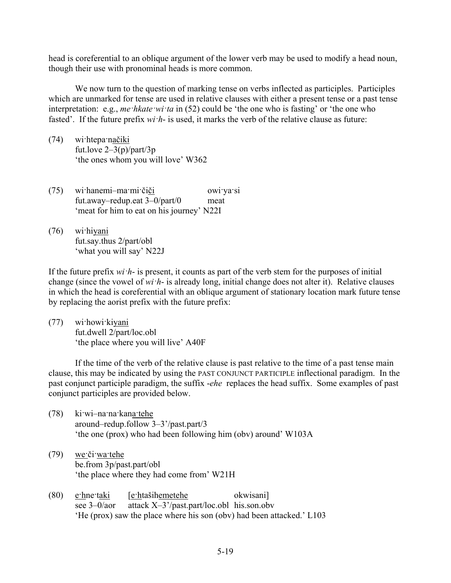head is coreferential to an oblique argument of the lower verb may be used to modify a head noun, though their use with pronominal heads is more common.

We now turn to the question of marking tense on verbs inflected as participles. Participles which are unmarked for tense are used in relative clauses with either a present tense or a past tense interpretation: e.g., *me·hkate·wi·ta* in (52) could be 'the one who is fasting' or 'the one who fasted'. If the future prefix *wi·h*- is used, it marks the verb of the relative clause as future:

(74) wi·htepa·načiki fut.love  $2\frac{3(p)}{part}$ 'the ones whom you will love' W362

(75) wi·hanemi–ma·mi·čiči owi·ya·si fut.away–redup.eat 3–0/part/0 meat 'meat for him to eat on his journey' N22I

(76) wi·hiyani fut.say.thus 2/part/obl 'what you will say' N22J

If the future prefix *wi·h*- is present, it counts as part of the verb stem for the purposes of initial change (since the vowel of *wi·h*- is already long, initial change does not alter it). Relative clauses in which the head is coreferential with an oblique argument of stationary location mark future tense by replacing the aorist prefix with the future prefix:

(77) wi·howi·kiyani fut.dwell 2/part/loc.obl 'the place where you will live' A40F

If the time of the verb of the relative clause is past relative to the time of a past tense main clause, this may be indicated by using the PAST CONJUNCT PARTICIPLE inflectional paradigm. In the past conjunct participle paradigm, the suffix -*ehe* replaces the head suffix. Some examples of past conjunct participles are provided below.

- (78) ki·wi–na·na·kana·tehe around–redup.follow 3–3'/past.part/3 'the one (prox) who had been following him (obv) around' W103A
- (79) we·či·wa·tehe be.from 3p/past.part/obl 'the place where they had come from' W21H
- (80) e·hne·taki [e·htašihemetehe okwisani] see 3–0/aor attack X–3'/past.part/loc.obl his.son.obv 'He (prox) saw the place where his son (obv) had been attacked.' L103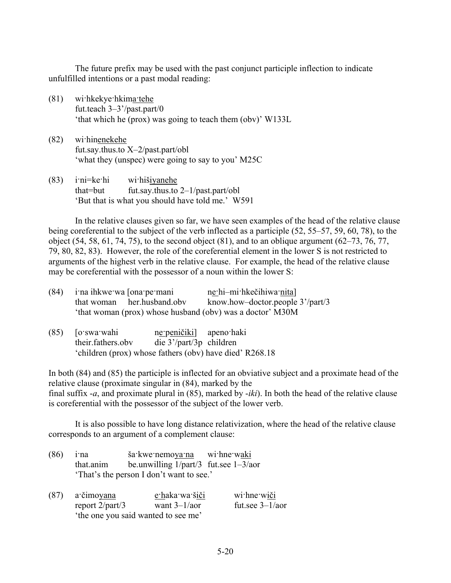The future prefix may be used with the past conjunct participle inflection to indicate unfulfilled intentions or a past modal reading:

- (81) wi·hkekye·hkima·tehe fut.teach 3–3'/past.part/0 'that which he (prox) was going to teach them (obv)' W133L
- (82) wi·hinenekehe fut.say.thus.to X–2/past.part/obl 'what they (unspec) were going to say to you' M25C
- (83) i·ni=ke·hi wi·hišiyanehe that=but fut.say.thus.to 2–1/past.part/obl 'But that is what you should have told me.' W591

In the relative clauses given so far, we have seen examples of the head of the relative clause being coreferential to the subject of the verb inflected as a participle (52, 55–57, 59, 60, 78), to the object (54, 58, 61, 74, 75), to the second object (81), and to an oblique argument (62–73, 76, 77, 79, 80, 82, 83). However, the role of the coreferential element in the lower S is not restricted to arguments of the highest verb in the relative clause. For example, the head of the relative clause may be coreferential with the possessor of a noun within the lower S:

| $(84)$ in a ihkwe wa [ona permani |                            | ne hi-mi hkečihiwa nita                                   |  |
|-----------------------------------|----------------------------|-----------------------------------------------------------|--|
|                                   | that woman her.husband.obv | know.how-doctor.people 3'/part/3                          |  |
|                                   |                            | 'that woman (prox) whose husband (obv) was a doctor' M30M |  |

(85) [o·swa·wahi ne·peničiki] apeno·haki their.fathers.obv die 3'/part/3p children 'children (prox) whose fathers (obv) have died' R268.18

In both (84) and (85) the participle is inflected for an obviative subject and a proximate head of the relative clause (proximate singular in (84), marked by the final suffix -*a*, and proximate plural in (85), marked by -*iki*). In both the head of the relative clause is coreferential with the possessor of the subject of the lower verb.

It is also possible to have long distance relativization, where the head of the relative clause corresponds to an argument of a complement clause:

- (86) i·na ša·kwe·nemoya·na wi·hne·waki that.anim be.unwilling 1/part/3 fut.see 1–3/aor 'That's the person I don't want to see.'
- (87) a·čimoyana e·haka·wa·šiči wi·hne·wiči report 2/part/3 want 3–1/aor fut.see 3–1/aor 'the one you said wanted to see me'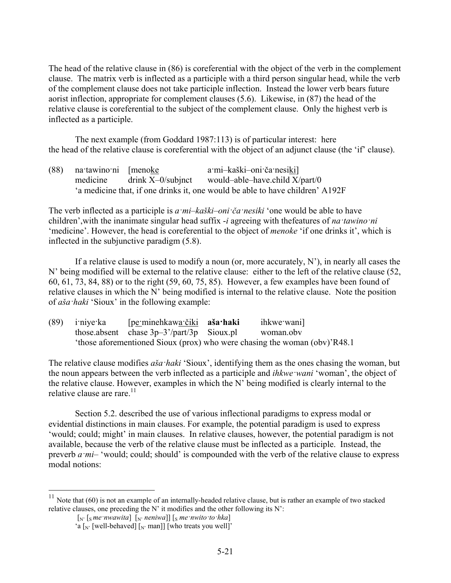The head of the relative clause in (86) is coreferential with the object of the verb in the complement clause. The matrix verb is inflected as a participle with a third person singular head, while the verb of the complement clause does not take participle inflection. Instead the lower verb bears future aorist inflection, appropriate for complement clauses (5.6). Likewise, in (87) the head of the relative clause is coreferential to the subject of the complement clause. Only the highest verb is inflected as a participle.

The next example (from Goddard 1987:113) is of particular interest: here the head of the relative clause is coreferential with the object of an adjunct clause (the 'if' clause).

(88) na·tawino·ni [menoke a·mi–kaški–oni·ča·nesiki] medicine drink X–0/subjnct would–able–have.child X/part/0 'a medicine that, if one drinks it, one would be able to have children' A192F

The verb inflected as a participle is *a·mi–kaški–oni·ča·nesiki* 'one would be able to have children',with the inanimate singular head suffix -*i* agreeing with thefeatures of *na·tawino·ni* 'medicine'. However, the head is coreferential to the object of *menoke* 'if one drinks it', which is inflected in the subjunctive paradigm (5.8).

If a relative clause is used to modify a noun (or, more accurately,  $N'$ ), in nearly all cases the N' being modified will be external to the relative clause: either to the left of the relative clause (52, 60, 61, 73, 84, 88) or to the right (59, 60, 75, 85). However, a few examples have been found of relative clauses in which the N' being modified is internal to the relative clause. Note the position of *aša·haki* 'Sioux' in the following example:

| $(89)$ i'niye ka | [pe·minehkawa·čiki <b>aša·haki</b>          | ihkwe wani]                                                               |
|------------------|---------------------------------------------|---------------------------------------------------------------------------|
|                  | those absent chase $3p-3'/part/3p$ Sioux pl | woman.obv                                                                 |
|                  |                                             | 'those aforementioned Sioux (prox) who were chasing the woman (obv)'R48.1 |

The relative clause modifies *aša·haki* 'Sioux', identifying them as the ones chasing the woman, but the noun appears between the verb inflected as a participle and *ihkwe·wani* 'woman', the object of the relative clause. However, examples in which the N' being modified is clearly internal to the relative clause are rare. $11$ 

Section 5.2. described the use of various inflectional paradigms to express modal or evidential distinctions in main clauses. For example, the potential paradigm is used to express 'would; could; might' in main clauses. In relative clauses, however, the potential paradigm is not available, because the verb of the relative clause must be inflected as a participle. Instead, the preverb *a mi*– 'would; could; should' is compounded with the verb of the relative clause to express modal notions:

<u>.</u>

<sup>&</sup>lt;sup>11</sup> Note that (60) is not an example of an internally-headed relative clause, but is rather an example of two stacked relative clauses, one preceding the N' it modifies and the other following its N':

 $\left[\int_{N'} \left[g\right] \text{ } m e \text{'} n w a w i t a\right] \left[\int_{N'} \left[\text{ } n e \text{'} n w i t o \text{'} t o \text{'} \text{ } h k a\right]\right]$ 

<sup>&#</sup>x27;a  $\left[\int_{N'}$  [well-behaved]  $\left[\int_{N'} \text{man}\right]$  [who treats you well]'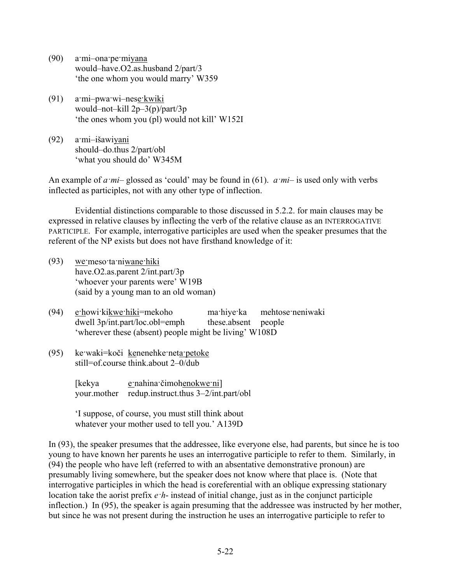- (90) a·mi–ona·pe·miyana would–have.O2.as.husband 2/part/3 'the one whom you would marry' W359
- (91) a·mi–pwa·wi–nese·kwiki would–not–kill 2p–3(p)/part/3p 'the ones whom you (pl) would not kill' W152I
- (92) a·mi–išawiyani should–do.thus 2/part/obl 'what you should do' W345M

An example of *a·mi*– glossed as 'could' may be found in (61). *a·mi*– is used only with verbs inflected as participles, not with any other type of inflection.

Evidential distinctions comparable to those discussed in 5.2.2. for main clauses may be expressed in relative clauses by inflecting the verb of the relative clause as an INTERROGATIVE PARTICIPLE. For example, interrogative participles are used when the speaker presumes that the referent of the NP exists but does not have firsthand knowledge of it:

- (93) we·meso·ta·niwane·hiki have.O2.as.parent 2/int.part/3p 'whoever your parents were' W19B (said by a young man to an old woman)
- (94) e·howi·kikwe·hiki=mekoho ma·hiye·ka mehtose·neniwaki dwell 3p/int.part/loc.obl=emph these.absent people 'wherever these (absent) people might be living' W108D
- (95) ke·waki=koči kenenehke·neta·petoke still=of.course think.about 2–0/dub

[kekya e·nahina·čimohenokwe·ni] your.mother redup.instruct.thus 3–2/int.part/obl

'I suppose, of course, you must still think about whatever your mother used to tell you.' A139D

In (93), the speaker presumes that the addressee, like everyone else, had parents, but since he is too young to have known her parents he uses an interrogative participle to refer to them. Similarly, in (94) the people who have left (referred to with an absentative demonstrative pronoun) are presumably living somewhere, but the speaker does not know where that place is. (Note that interrogative participles in which the head is coreferential with an oblique expressing stationary location take the aorist prefix *e·h*- instead of initial change, just as in the conjunct participle inflection.) In (95), the speaker is again presuming that the addressee was instructed by her mother, but since he was not present during the instruction he uses an interrogative participle to refer to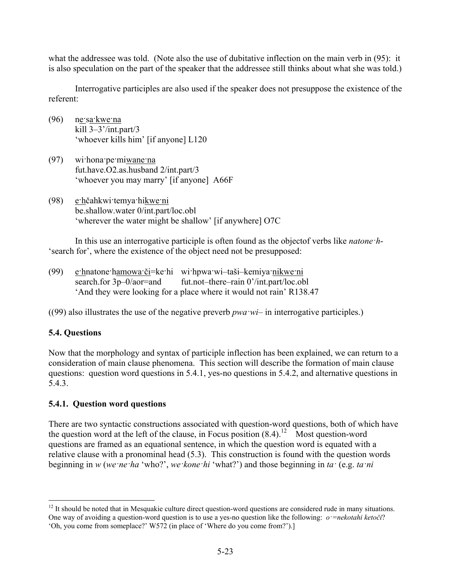what the addressee was told. (Note also the use of dubitative inflection on the main verb in (95): it is also speculation on the part of the speaker that the addressee still thinks about what she was told.)

Interrogative participles are also used if the speaker does not presuppose the existence of the referent:

- (96) ne·sa·kwe·na kill 3–3'/int.part/3 'whoever kills him' [if anyone] L120
- (97) wi·hona·pe·miwane·na fut.have.O2.as.husband 2/int.part/3 'whoever you may marry' [if anyone] A66F
- (98) e·hčahkwi·temya·hikwe·ni be.shallow.water 0/int.part/loc.obl 'wherever the water might be shallow' [if anywhere] O7C

In this use an interrogative participle is often found as the objectof verbs like *natone·h*- 'search for', where the existence of the object need not be presupposed:

(99) e·hnatone·hamowa·či=ke·hi wi·hpwa·wi–taši–kemiya·nikwe·ni search.for 3p–0/aor=and fut.not–there–rain 0'/int.part/loc.obl 'And they were looking for a place where it would not rain' R138.47

((99) also illustrates the use of the negative preverb  $pwawi$  in interrogative participles.)

## **5.4. Questions**

1

Now that the morphology and syntax of participle inflection has been explained, we can return to a consideration of main clause phenomena. This section will describe the formation of main clause questions: question word questions in 5.4.1, yes-no questions in 5.4.2, and alternative questions in 5.4.3.

## **5.4.1. Question word questions**

There are two syntactic constructions associated with question-word questions, both of which have the question word at the left of the clause, in Focus position  $(8.4)$ .<sup>12</sup> Most question-word questions are framed as an equational sentence, in which the question word is equated with a relative clause with a pronominal head (5.3). This construction is found with the question words beginning in *w* (*we·ne·ha* 'who?', *we·kone·hi* 'what?') and those beginning in *ta·* (e.g. *ta·ni*

 $12$  It should be noted that in Mesquakie culture direct question-word questions are considered rude in many situations. One way of avoiding a question-word question is to use a yes-no question like the following: *o·=nekotahi ketoči*? 'Oh, you come from someplace?' W572 (in place of 'Where do you come from?').]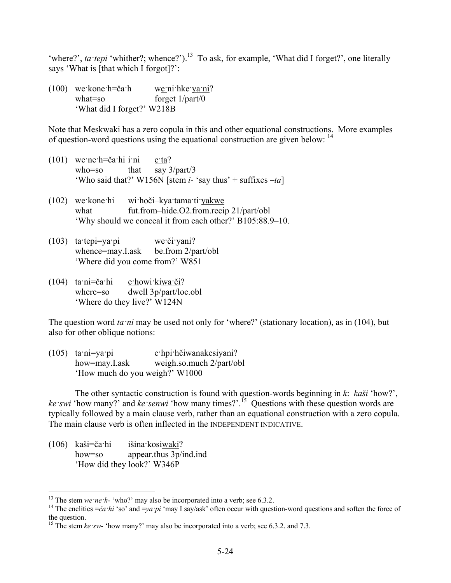'where?', *ta·tepi* 'whither?; whence?').<sup>13</sup> To ask, for example, 'What did I forget?', one literally says 'What is [that which I forgot]?':

(100) we·kone·h=ča·h we·ni·hke·ya·ni? what=so forget  $1$ /part/0 'What did I forget?' W218B

Note that Meskwaki has a zero copula in this and other equational constructions. More examples of question-word questions using the equational construction are given below: 14

- (101) we·ne·h=ča·hi i·ni e·ta? who=so that say 3/part/3 'Who said that?' W156N [stem *i-* 'say thus' + suffixes –*ta*]
- (102) we·kone·hi wi·hoči–kya·tama·ti·yakwe what fut.from–hide.O2.from.recip 21/part/obl 'Why should we conceal it from each other?' B105:88.9–10.
- (103) ta·tepi=ya·pi we·či·yani? whence=may.I.ask be.from 2/part/obl 'Where did you come from?' W851
- (104)  $\tan i = \cosh i$  e·howi·kiwa·či? where=so dwell 3p/part/loc.obl 'Where do they live?' W124N

The question word *ta ni* may be used not only for 'where?' (stationary location), as in (104), but also for other oblique notions:

(105) ta·ni=ya·pi e·hpi·hčiwanakesiyani? how=may.I.ask weigh.so.much 2/part/obl 'How much do you weigh?' W1000

The other syntactic construction is found with question-words beginning in *k*: *kaši* 'how?', *ke·swi* 'how many?' and *ke·senwi* 'how many times?'.15 Questions with these question words are typically followed by a main clause verb, rather than an equational construction with a zero copula. The main clause verb is often inflected in the INDEPENDENT INDICATIVE.

(106) kaši=ča·hi išina·kosiwaki? how=so appear.thus 3p/ind.ind 'How did they look?' W346P

<sup>&</sup>lt;sup>13</sup> The stem we ne h- 'who?' may also be incorporated into a verb; see 6.3.2.

<sup>&</sup>lt;sup>14</sup> The enclitics  $=\breve{c}a \cdot h i$  'so' and  $=ya \cdot pi$  'may I say/ask' often occur with question-word questions and soften the force of the question.

<sup>&</sup>lt;sup>15</sup> The stem *ke sw*- 'how many?' may also be incorporated into a verb; see 6.3.2. and 7.3.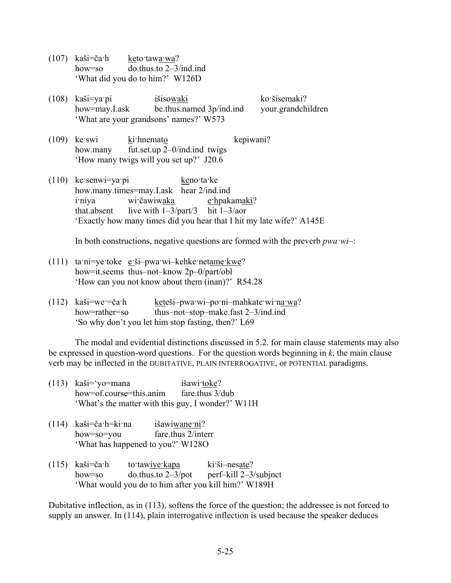- (107) kaši=ča·h keto·tawa·wa? how=so do.thus.to 2–3/ind.ind 'What did you do to him?' W126D
- (108) kaši=ya·pi išisowaki ko·šisemaki? how=may.I.ask be.thus.named 3p/ind.ind your.grandchildren 'What are your grandsons' names?' W573
- (109) ke·swi ki·hnemato kepiwani? how.many fut.set.up 2–0/ind.ind twigs 'How many twigs will you set up?' J20.6
- (110) ke·senwi=ya·pi keno·ta·ke how.many.times=may.I.ask hear 2/ind.ind i·niya wi·čawiwaka e·hpakamaki? that.absent live with  $1-3$ /part/3 hit  $1-3$ /aor 'Exactly how many times did you hear that I hit my late wife?' A145E

In both constructions, negative questions are formed with the preverb *pwa·wi*–:

- (111) ta·ni=ye·toke e·ši–pwa·wi–kehke·netame·kwe? how=it.seems thus–not–know 2p–0/part/obl 'How can you not know about them (inan)?' R54.28
- (112) kaši=we·=ča·h keteši–pwa·wi–po·ni–mahkate·wi·na·wa? how=rather=so thus–not–stop–make.fast 2–3/ind.ind 'So why don't you let him stop fasting, then?' L69

The modal and evidential distinctions discussed in 5.2. for main clause statements may also be expressed in question-word questions. For the question words beginning in *k*, the main clause verb may be inflected in the DUBITATIVE, PLAIN INTERROGATIVE, or POTENTIAL paradigms.

| $(113)$ kaši='yo=mana                             | išawi toke? |
|---------------------------------------------------|-------------|
| how=of.course=this.anim fare.thus 3/dub           |             |
| 'What's the matter with this guy, I wonder?' W11H |             |

- (114) kaši=ča·h=ki·na išawiwane·ni? how=so=you fare.thus 2/interr 'What has happened to you?' W128O
- (115) kaši=ča·h to·tawiye·kapa ki·ši–nesate? how=so do.thus.to  $2-3$ /pot perf–kill  $2-3$ /subjnct 'What would you do to him after you kill him?' W189H

Dubitative inflection, as in (113), softens the force of the question; the addressee is not forced to supply an answer. In (114), plain interrogative inflection is used because the speaker deduces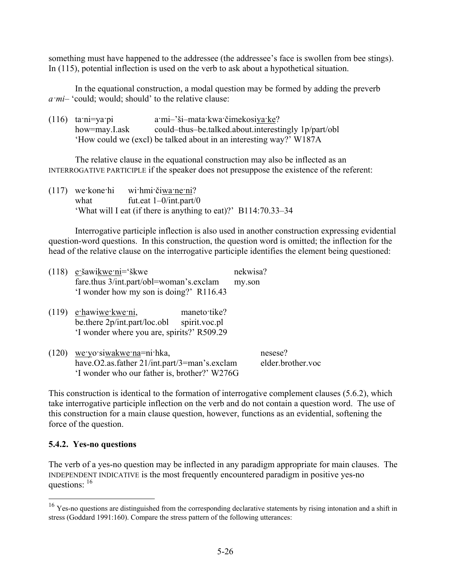something must have happened to the addressee (the addressee's face is swollen from bee stings). In (115), potential inflection is used on the verb to ask about a hypothetical situation.

In the equational construction, a modal question may be formed by adding the preverb *a·mi*– 'could; would; should' to the relative clause:

| $(116)$ ta:ni=ya:pi | a·mi-'ši-mata·kwa·čimekosiya·ke?                                   |
|---------------------|--------------------------------------------------------------------|
| how=may.I.ask       | could-thus-be.talked.about.interestingly 1p/part/obl               |
|                     | 'How could we (excl) be talked about in an interesting way?' W187A |

The relative clause in the equational construction may also be inflected as an INTERROGATIVE PARTICIPLE if the speaker does not presuppose the existence of the referent:

(117) we·kone·hi wi·hmi·čiwa·ne·ni? what fut.eat  $1-0/int part/0$ 'What will I eat (if there is anything to eat)?' B114:70.33–34

Interrogative participle inflection is also used in another construction expressing evidential question-word questions. In this construction, the question word is omitted; the inflection for the head of the relative clause on the interrogative participle identifies the element being questioned:

| $(118)$ e šawikwe ni='škwe<br>fare.thus 3/int.part/obl=woman's.exclam                                                                  | nekwisa?<br>my.son           |
|----------------------------------------------------------------------------------------------------------------------------------------|------------------------------|
| 'I wonder how my son is doing?' R116.43                                                                                                |                              |
| (119) e hawiwe kwe ni,<br>maneto tike?<br>be there $2p/intpart/loc.obl$<br>spirit.voc.pl<br>'I wonder where you are, spirits?' R509.29 |                              |
| $(120)$ we yo siwakwe na=ni hka,<br>have.O2.as.father 21/int.part/3=man's.exclam<br>'I wonder who our father is, brother?' W276G       | nesese?<br>elder.brother.voc |

This construction is identical to the formation of interrogative complement clauses (5.6.2), which take interrogative participle inflection on the verb and do not contain a question word. The use of this construction for a main clause question, however, functions as an evidential, softening the force of the question.

## **5.4.2. Yes-no questions**

1

The verb of a yes-no question may be inflected in any paradigm appropriate for main clauses. The INDEPENDENT INDICATIVE is the most frequently encountered paradigm in positive yes-no questions: <sup>16</sup>

<sup>&</sup>lt;sup>16</sup> Yes-no questions are distinguished from the corresponding declarative statements by rising intonation and a shift in stress (Goddard 1991:160). Compare the stress pattern of the following utterances: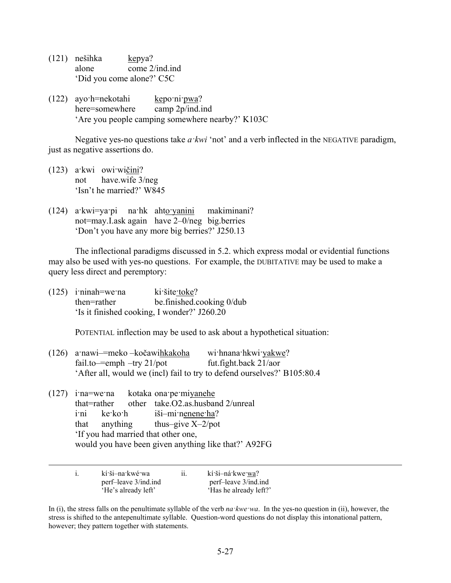- (121) nešihka kepya? alone come 2/ind.ind 'Did you come alone?' C5C
- (122) ayo·h=nekotahi kepo·ni·pwa? here=somewhere camp 2p/ind.ind 'Are you people camping somewhere nearby?' K103C

Negative yes-no questions take *a·kwi* 'not' and a verb inflected in the NEGATIVE paradigm, just as negative assertions do.

- (123) a·kwi owi·wičini? not have.wife 3/neg 'Isn't he married?' W845
- (124) a·kwi=ya·pi na·hk ahto·yanini makiminani? not=may.I.ask again have 2–0/neg big.berries 'Don't you have any more big berries?' J250.13

The inflectional paradigms discussed in 5.2. which express modal or evidential functions may also be used with yes-no questions. For example, the DUBITATIVE may be used to make a query less direct and peremptory:

(125) i·ninah=we·na ki·šite·toke? then=rather be.finished.cooking 0/dub 'Is it finished cooking, I wonder?' J260.20

POTENTIAL inflection may be used to ask about a hypothetical situation:

- (126) a·nawi–=meko –kočawihkakoha wi·hnana·hkwi·yakwe? fail.to—=emph –try  $21$ /pot fut.fight.back  $21$ /aor 'After all, would we (incl) fail to try to defend ourselves?' B105:80.4
- (127) i·na=we·na kotaka ona·pe·miyanehe that=rather other take.O2.as.husband 2/unreal i·ni ke·ko·h iši–mi·nenene·ha? that anything thus–give X–2/pot 'If you had married that other one, would you have been given anything like that?' A92FG

|  | kí ši–na kwé wa<br>perf-leave 3/ind.ind<br>'He's already left' | 11. | kí ši-ná kwe wa?<br>perf-leave 3/ind.ind<br>'Has he already left?' |
|--|----------------------------------------------------------------|-----|--------------------------------------------------------------------|
|  |                                                                |     |                                                                    |

In (i), the stress falls on the penultimate syllable of the verb *na·kwe·wa*. In the yes-no question in (ii), however, the stress is shifted to the antepenultimate syllable. Question-word questions do not display this intonational pattern, however; they pattern together with statements.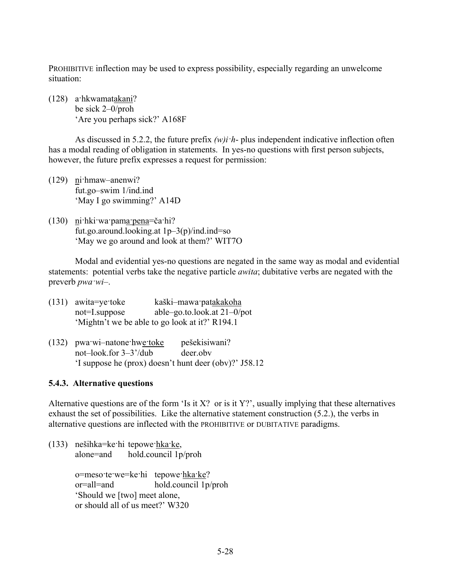PROHIBITIVE inflection may be used to express possibility, especially regarding an unwelcome situation:

(128) a·hkwamatakani? be sick 2–0/proh 'Are you perhaps sick?' A168F

As discussed in 5.2.2, the future prefix *(w)i·h*- plus independent indicative inflection often has a modal reading of obligation in statements. In yes-no questions with first person subjects, however, the future prefix expresses a request for permission:

- (129) ni·hmaw–anenwi? fut.go–swim 1/ind.ind 'May I go swimming?' A14D
- (130) ni·hki·wa·pama·pena=ča·hi? fut.go.around.looking.at 1p–3(p)/ind.ind=so 'May we go around and look at them?' WIT7O

Modal and evidential yes-no questions are negated in the same way as modal and evidential statements: potential verbs take the negative particle *awita*; dubitative verbs are negated with the preverb *pwa·wi*–.

- (131) awita=ye·toke kaški–mawa·patakakoha not=I.suppose able–go.to.look.at 21–0/pot 'Mightn't we be able to go look at it?' R194.1
- (132) pwa·wi–natone·hwe·toke pešekisiwani? not–look.for 3–3'/dub deer.obv 'I suppose he (prox) doesn't hunt deer (obv)?' J58.12

## **5.4.3. Alternative questions**

Alternative questions are of the form 'Is it X? or is it Y?', usually implying that these alternatives exhaust the set of possibilities. Like the alternative statement construction (5.2.), the verbs in alternative questions are inflected with the PROHIBITIVE or DUBITATIVE paradigms.

(133) nešihka=ke·hi tepowe·hka·ke, alone=and hold.council 1p/proh

> o=meso·te·we=ke·hi tepowe·hka·ke? or=all=and hold.council 1p/proh 'Should we [two] meet alone,

or should all of us meet?' W320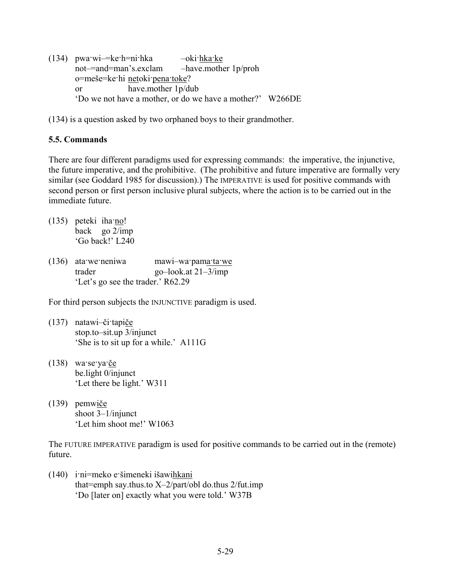(134) pwa·wi–=ke·h=ni·hka –oki·hka·ke not–=and=man's.exclam –have.mother 1p/proh o=meše=ke·hi netoki·pena·toke? or have.mother 1p/dub 'Do we not have a mother, or do we have a mother?' W266DE

(134) is a question asked by two orphaned boys to their grandmother.

# **5.5. Commands**

There are four different paradigms used for expressing commands: the imperative, the injunctive, the future imperative, and the prohibitive. (The prohibitive and future imperative are formally very similar (see Goddard 1985 for discussion).) The IMPERATIVE is used for positive commands with second person or first person inclusive plural subjects, where the action is to be carried out in the immediate future.

- (135) peteki iha·no! back go 2/imp 'Go back!' L240
- (136) ata·we·neniwa mawi–wa·pama·ta·we trader go–look.at 21–3/imp 'Let's go see the trader.' R62.29

For third person subjects the INJUNCTIVE paradigm is used.

- (137) natawi–či·tapiče stop.to–sit.up 3/injunct 'She is to sit up for a while.' A111G
- (138) wa·se·ya·če be.light 0/injunct 'Let there be light.' W311
- (139) pemwiče shoot 3–1/injunct 'Let him shoot me!' W1063

The FUTURE IMPERATIVE paradigm is used for positive commands to be carried out in the (remote) future.

(140) i·ni=meko e·šimeneki išawihkani that=emph say.thus.to  $X-2$ /part/obl do.thus  $2$ /fut.imp 'Do [later on] exactly what you were told.' W37B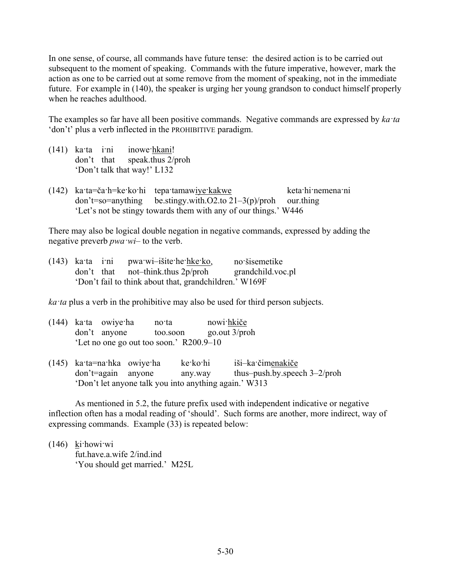In one sense, of course, all commands have future tense: the desired action is to be carried out subsequent to the moment of speaking. Commands with the future imperative, however, mark the action as one to be carried out at some remove from the moment of speaking, not in the immediate future. For example in (140), the speaker is urging her young grandson to conduct himself properly when he reaches adulthood.

The examples so far have all been positive commands. Negative commands are expressed by *ka·ta* 'don't' plus a verb inflected in the PROHIBITIVE paradigm.

- (141) ka·ta i·ni inowe·hkani! don't that speak.thus 2/proh 'Don't talk that way!' L132
- (142) ka·ta=ča·h=ke·ko·hi tepa·tamawiye·kakwe keta·hi·nemena·ni  $don't=so=anvthing$  be.stingy.with.O2.to  $21-3(p)/prob$  our.thing 'Let's not be stingy towards them with any of our things.' W446

There may also be logical double negation in negative commands, expressed by adding the negative preverb *pwa·wi*– to the verb.

|  | (143) kata imi pwawi-išite he hke ko,                  | no šisemetike     |
|--|--------------------------------------------------------|-------------------|
|  | $don't$ that not-think thus 2p/proh                    | grandchild.voc.pl |
|  | 'Don't fail to think about that, grandchildren.' W169F |                   |

*ka·ta* plus a verb in the prohibitive may also be used for third person subjects.

|  | $(144)$ kata owiye ha                   | no ta    | nowi hkiče    |
|--|-----------------------------------------|----------|---------------|
|  | don't anyone                            | too.soon | go.out 3/proh |
|  | 'Let no one go out too soon.' R200.9–10 |          |               |

(145) ka·ta=na·hka owiye·ha ke·ko·hi iši–ka·čimenakiče don't=again anyone any.way thus–push.by.speech 3–2/proh 'Don't let anyone talk you into anything again.' W313

As mentioned in 5.2, the future prefix used with independent indicative or negative inflection often has a modal reading of 'should'. Such forms are another, more indirect, way of expressing commands. Example (33) is repeated below:

(146) ki·howi·wi fut.have.a.wife 2/ind.ind 'You should get married.' M25L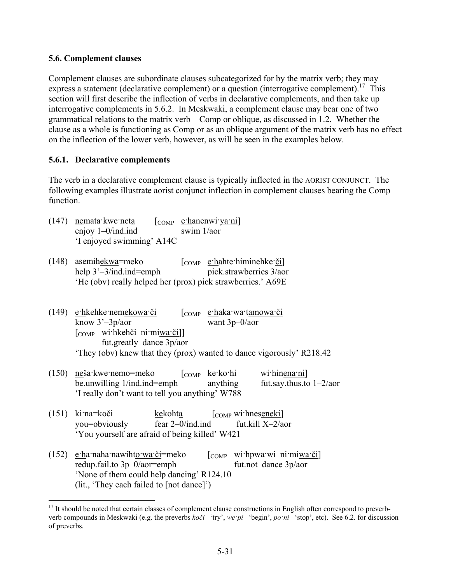### **5.6. Complement clauses**

Complement clauses are subordinate clauses subcategorized for by the matrix verb; they may express a statement (declarative complement) or a question (interrogative complement).<sup>17</sup> This section will first describe the inflection of verbs in declarative complements, and then take up interrogative complements in 5.6.2. In Meskwaki, a complement clause may bear one of two grammatical relations to the matrix verb—Comp or oblique, as discussed in 1.2. Whether the clause as a whole is functioning as Comp or as an oblique argument of the matrix verb has no effect on the inflection of the lower verb, however, as will be seen in the examples below.

#### **5.6.1. Declarative complements**

1

The verb in a declarative complement clause is typically inflected in the AORIST CONJUNCT. The following examples illustrate aorist conjunct inflection in complement clauses bearing the Comp function.

| $(147)$ nemata kwe neta   | $\begin{bmatrix} \text{COMP} & \text{e} \cdot \text{hanenw} \\ \text{Y} \cdot \text{Y} \cdot \text{Y} \end{bmatrix}$ |
|---------------------------|----------------------------------------------------------------------------------------------------------------------|
| enjoy $1-0$ /ind.ind      | swim $1/a$ or                                                                                                        |
| 'I enjoyed swimming' A14C |                                                                                                                      |

| (148) asemihekwa=meko                                       | $\begin{bmatrix} \text{COMP} & \text{e}^{\cdot} \text{halte}^{\cdot} \text{himine} \text{hke}^{\cdot} \text{e}^{\cdot} \end{bmatrix}$ |
|-------------------------------------------------------------|---------------------------------------------------------------------------------------------------------------------------------------|
| help $3'-3/ind$ .ind=emph                                   | pick.strawberries 3/aor                                                                                                               |
| 'He (obv) really helped her (prox) pick strawberries.' A69E |                                                                                                                                       |

- (149) e·hkehke·nemekowa·či [COMP e·haka·wa·tamowa·či know 3'–3p/aor want 3p–0/aor [COMP wi·hkehči–ni·miwa·či]] fut.greatly–dance 3p/aor 'They (obv) knew that they (prox) wanted to dance vigorously' R218.42
- (150) neša·kwe·nemo=meko  $\begin{bmatrix} \text{comp} & \text{ke-ko-hi} \\ \text{be.unwilling 1/ind.ind=emph} \end{bmatrix}$  anything fut.say.thus.to 1-2/aor be.unwilling  $1/ind$ .ind=emph anything 'I really don't want to tell you anything' W788
- (151) ki·na=koči kekohta [COMP wi·hneseneki] you=obviously fear 2–0/ind.ind fut.kill X–2/aor 'You yourself are afraid of being killed' W421
- (152) e·ha·naha·nawihto·wa·či=meko  $\lceil \text{COMP} \text{w} \rceil$ ·hpwa·wi–ni·miwa·či] redup.fail.to 3p–0/aor=emph fut.not–dance 3p/aor 'None of them could help dancing' R124.10 (lit., 'They each failed to [not dance]')

 $17$  It should be noted that certain classes of complement clause constructions in English often correspond to preverbverb compounds in Meskwaki (e.g. the preverbs *koči*– 'try', *we·pi*– 'begin', *po·ni*– 'stop', etc). See 6.2. for discussion of preverbs.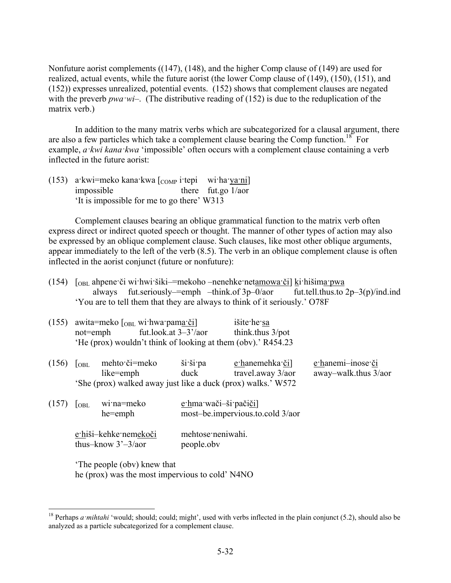Nonfuture aorist complements ((147), (148), and the higher Comp clause of (149) are used for realized, actual events, while the future aorist (the lower Comp clause of (149), (150), (151), and (152)) expresses unrealized, potential events. (152) shows that complement clauses are negated with the preverb *pwa ·wi*–. (The distributive reading of (152) is due to the reduplication of the matrix verb.)

In addition to the many matrix verbs which are subcategorized for a clausal argument, there are also a few particles which take a complement clause bearing the Comp function.<sup>18</sup> For example, *a·kwi kana·kwa* 'impossible' often occurs with a complement clause containing a verb inflected in the future aorist:

(153) a·kwi=meko kana·kwa [COMP i·tepi wi·ha·ya·ni] impossible there fut.go 1/aor 'It is impossible for me to go there' W313

Complement clauses bearing an oblique grammatical function to the matrix verb often express direct or indirect quoted speech or thought. The manner of other types of action may also be expressed by an oblique complement clause. Such clauses, like most other oblique arguments, appear immediately to the left of the verb (8.5). The verb in an oblique complement clause is often inflected in the aorist conjunct (future or nonfuture):

(154) [OBL ahpene·či wi·hwi·šiki–=mekoho –nenehke·netamowa·či] ki·hišima·pwa always fut.seriously–=emph –think.of 3p–0/aor fut.tell.thus.to 2p–3(p)/ind.ind 'You are to tell them that they are always to think of it seriously.' O78F

| (155) | $not$ = $emph$   | awita=meko [ <sub>OBL</sub> wi·hwa·pama·či]<br>fut.look.at $3-3^{\prime}/a$ or<br>'He (prox) wouldn't think of looking at them (obv).' R454.23 |                       | išite he sa<br>think.thus 3/pot     |                                           |
|-------|------------------|------------------------------------------------------------------------------------------------------------------------------------------------|-----------------------|-------------------------------------|-------------------------------------------|
| (156) | <sub>OBL</sub>   | mehto či=meko<br>like=emph<br>'She (prox) walked away just like a duck (prox) walks.' W572                                                     | ši ši pa<br>duck      | e hanemehka či<br>travel.away 3/aor | e hanemi-inose či<br>away-walk.thus 3/aor |
| (157) | $\overline{OBL}$ | wi:na=meko<br>he=emph                                                                                                                          | e hma wači-ši pačiči] | most-be.impervious.to.cold 3/aor    |                                           |

e·hiši–kehke·nemekoči mehtose·neniwahi. thus–know 3'–3/aor people.obv

'The people (obv) knew that he (prox) was the most impervious to cold' N4NO

1

<sup>&</sup>lt;sup>18</sup> Perhaps *a mihtahi* 'would; should; could; might', used with verbs inflected in the plain conjunct (5.2), should also be analyzed as a particle subcategorized for a complement clause.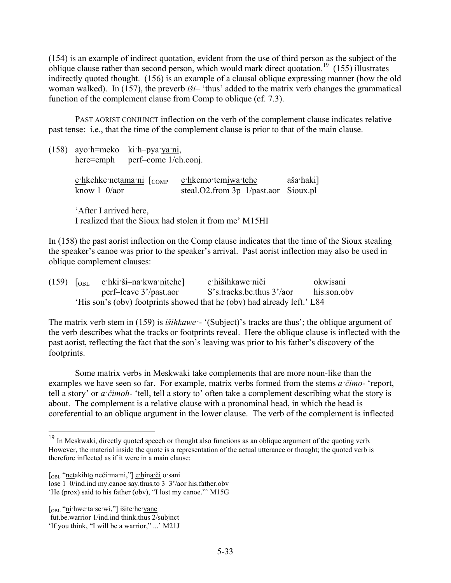(154) is an example of indirect quotation, evident from the use of third person as the subject of the oblique clause rather than second person, which would mark direct quotation.<sup>19</sup> (155) illustrates indirectly quoted thought. (156) is an example of a clausal oblique expressing manner (how the old woman walked). In (157), the preverb *iši*– 'thus' added to the matrix verb changes the grammatical function of the complement clause from Comp to oblique (cf. 7.3).

PAST AORIST CONJUNCT inflection on the verb of the complement clause indicates relative past tense: i.e., that the time of the complement clause is prior to that of the main clause.

(158) ayo·h=meko ki·h–pya·ya·ni, here=emph perf–come 1/ch.conj. e·hkehke·netama·ni [<sub>COMP</sub> e·hkemo·tem<u>iwa·tehe</u> aša·haki] know 1–0/aor steal.O2.from 3p–1/past.aor Sioux.pl

'After I arrived here, I realized that the Sioux had stolen it from me' M15HI

In (158) the past aorist inflection on the Comp clause indicates that the time of the Sioux stealing the speaker's canoe was prior to the speaker's arrival. Past aorist inflection may also be used in oblique complement clauses:

|                                                                         |  | $(159)$ $\lceil_{OBL}$ ethki ši—na kwa nitehe | e hišihkawe niči          | okwisani    |  |
|-------------------------------------------------------------------------|--|-----------------------------------------------|---------------------------|-------------|--|
|                                                                         |  | perf-leave 3'/past.aor                        | S's tracks be thus 3'/aor | his.son.obv |  |
| 'His son's (obv) footprints showed that he (obv) had already left.' L84 |  |                                               |                           |             |  |

The matrix verb stem in (159) is *išihkawe·*- '(Subject)'s tracks are thus'; the oblique argument of the verb describes what the tracks or footprints reveal. Here the oblique clause is inflected with the past aorist, reflecting the fact that the son's leaving was prior to his father's discovery of the footprints.

Some matrix verbs in Meskwaki take complements that are more noun-like than the examples we have seen so far. For example, matrix verbs formed from the stems *a·čimo*- 'report, tell a story' or *a·čimoh*- 'tell, tell a story to' often take a complement describing what the story is about. The complement is a relative clause with a pronominal head, in which the head is coreferential to an oblique argument in the lower clause. The verb of the complement is inflected

1

<sup>&</sup>lt;sup>19</sup> In Meskwaki, directly quoted speech or thought also functions as an oblique argument of the quoting verb. However, the material inside the quote is a representation of the actual utterance or thought; the quoted verb is therefore inflected as if it were in a main clause:

<sup>[</sup>OBL "netakihto neči·ma·ni,"] e·hina·či o·sani

lose 1–0/ind.ind my.canoe say.thus.to 3–3'/aor his.father.obv

<sup>&#</sup>x27;He (prox) said to his father (obv), "I lost my canoe."' M15G

<sup>[</sup>OBL "ni·hwe·ta·se·wi,"] išite·he·yane

fut.be.warrior 1/ind.ind think.thus 2/subjnct

<sup>&#</sup>x27;If you think, "I will be a warrior," ...' M21J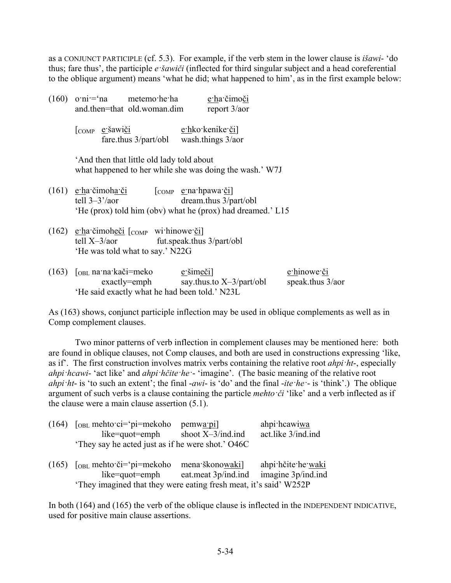as a CONJUNCT PARTICIPLE (cf. 5.3). For example, if the verb stem in the lower clause is *išawi*- 'do thus; fare thus', the participle *e·šawiči* (inflected for third singular subject and a head coreferential to the oblique argument) means 'what he did; what happened to him', as in the first example below:

| $(160)$ o'ni = 'na metemo'he ha<br>and.then=that old.woman.dim                  | e ha čimoči<br>report $3/a$ or                                                      |             |
|---------------------------------------------------------------------------------|-------------------------------------------------------------------------------------|-------------|
| COMP e šawiči                                                                   | e hko kenike či<br>fare thus $3$ /part/obl wash things $3$ /aor                     |             |
| 'And then that little old lady told about                                       | what happened to her while she was doing the wash.' W7J                             |             |
| $(161)$ e·ha·čimoha·či [COMP e·na·hpawa·či]<br>tell $3-3^{\prime}/a$ or         | dream.thus 3/part/obl<br>'He (prox) told him (obv) what he (prox) had dreamed.' L15 |             |
| (162) $e$ ·ha·čimoheči $[comp$ wi·hinowe·či]<br>'He was told what to say.' N22G | tell $X-3/aor$ fut speak thus $3/part/obl$                                          |             |
| $(163)$ $\int$ <sub>OBL</sub> na na kači=meko                                   | e šimeči]                                                                           | e hinowe či |

'He said exactly what he had been told.' N23L

As (163) shows, conjunct participle inflection may be used in oblique complements as well as in Comp complement clauses.

exactly=emph say.thus.to X–3/part/obl speak.thus 3/aor

Two minor patterns of verb inflection in complement clauses may be mentioned here: both are found in oblique clauses, not Comp clauses, and both are used in constructions expressing 'like, as if'. The first construction involves matrix verbs containing the relative root *ahpi·ht*-, especially *ahpi·hcawi*- 'act like' and *ahpi·hčite·he·*- 'imagine'. (The basic meaning of the relative root *ahpi·ht*- is 'to such an extent'; the final -*awi*- is 'do' and the final -*ite·he·*- is 'think'.) The oblique argument of such verbs is a clause containing the particle *mehto·či* 'like' and a verb inflected as if the clause were a main clause assertion (5.1).

| $(164)$ [ <sub>OBL</sub> mehto ci= $'pi$ =mekoho                  | pemwa pi]            | ahpi hcawiwa       |  |  |  |  |  |
|-------------------------------------------------------------------|----------------------|--------------------|--|--|--|--|--|
| like=quot=emph                                                    | shoot $X-3/ind$ .ind | act.like 3/ind.ind |  |  |  |  |  |
| They say he acted just as if he were shot.' O46C                  |                      |                    |  |  |  |  |  |
| $(165)$ [ <sub>OBL</sub> mehto či= $'pi$ =mekoho                  | mena škonowaki]      | ahpi hčite he waki |  |  |  |  |  |
| like=quot=emph                                                    | eat.meat 3p/ind.ind  | imagine 3p/ind.ind |  |  |  |  |  |
| 'They imagined that they were eating fresh meat, it's said' W252P |                      |                    |  |  |  |  |  |

In both (164) and (165) the verb of the oblique clause is inflected in the INDEPENDENT INDICATIVE, used for positive main clause assertions.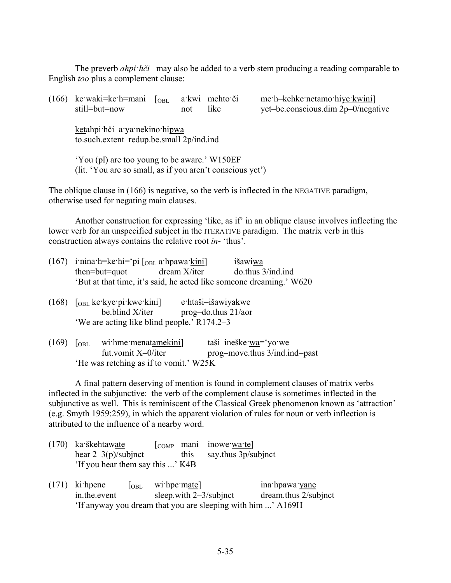The preverb *ahpi·hči*– may also be added to a verb stem producing a reading comparable to English *too* plus a complement clause:

| (166) | ke waki=ke h=mani<br>still=but=now                                                                        | $\log L$ | not | a kwi mehto či<br>like | me h-kehke netamo hiye kwini<br>yet-be.conscious.dim 2p-0/negative |  |  |  |
|-------|-----------------------------------------------------------------------------------------------------------|----------|-----|------------------------|--------------------------------------------------------------------|--|--|--|
|       | ketahpi hči-a ya nekino hipwa<br>to.such.extent-redup.be.small 2p/ind.ind                                 |          |     |                        |                                                                    |  |  |  |
|       | 'You (pl) are too young to be aware.' W150EF<br>(lit. 'You are so small, as if you aren't conscious yet') |          |     |                        |                                                                    |  |  |  |

The oblique clause in (166) is negative, so the verb is inflected in the NEGATIVE paradigm, otherwise used for negating main clauses.

Another construction for expressing 'like, as if' in an oblique clause involves inflecting the lower verb for an unspecified subject in the ITERATIVE paradigm. The matrix verb in this construction always contains the relative root *in*- 'thus'.

| (167) | i:nina:h=ke:hi='pi $\lceil_{OBL}$ a:hpawa:kini]                                                          |                                              | išawiwa                                                                     |
|-------|----------------------------------------------------------------------------------------------------------|----------------------------------------------|-----------------------------------------------------------------------------|
|       | $then=but=quot$                                                                                          | $d$ ream $X$ /iter                           | $\alpha$ .thus $3/$ ind.ind                                                 |
|       |                                                                                                          |                                              | 'But at that time, it's said, he acted like someone dreaming.' W620         |
|       | $(168)$ [ $_{OBL}$ ke kye pi kwe kini]<br>be blind X/iter<br>'We are acting like blind people.' R174.2–3 | e htaši-išawiyakwe<br>$prog$ -do.thus 21/aor |                                                                             |
| (169) | wi hme menatamekini]<br>  <sub>OBL</sub><br>$f$ ut vomit $X_0$ /iter                                     |                                              | taši-ineške:wa='yo:we<br>$n_{\text{max}}$ move thus $3/\text{ind}$ ind=nast |

fut.vomit X–0/iter prog–move.thus 3/ind.ind=past 'He was retching as if to vomit.' W25K

A final pattern deserving of mention is found in complement clauses of matrix verbs inflected in the subjunctive: the verb of the complement clause is sometimes inflected in the subjunctive as well. This is reminiscent of the Classical Greek phenomenon known as 'attraction' (e.g. Smyth 1959:259), in which the apparent violation of rules for noun or verb inflection is attributed to the influence of a nearby word.

| $(170)$ ka škehtawate            |  | $[_{COMP}$ mani inowe wa te |
|----------------------------------|--|-----------------------------|
| hear $2-3(p)/$ subjnct           |  | this say thus 3p/subjnct    |
| 'If you hear them say this ' K4B |  |                             |

 $(171)$  ki hpene  $\lceil$  [OBL wi hpe mate] ina hpawa yane in.the.event sleep.with 2–3/subjnct dream.thus 2/subjnct 'If anyway you dream that you are sleeping with him ...' A169H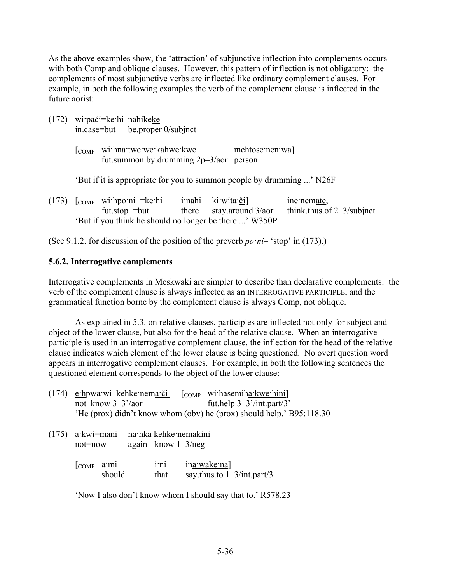As the above examples show, the 'attraction' of subjunctive inflection into complements occurs with both Comp and oblique clauses. However, this pattern of inflection is not obligatory: the complements of most subjunctive verbs are inflected like ordinary complement clauses. For example, in both the following examples the verb of the complement clause is inflected in the future aorist:

|                                                                       |  | $(172)$ wipači=ke hi nahikeke<br>in.case=but be.proper 0/subjnct                                             |  |                  |                                   |                                             |
|-----------------------------------------------------------------------|--|--------------------------------------------------------------------------------------------------------------|--|------------------|-----------------------------------|---------------------------------------------|
|                                                                       |  | [COMP withnatwewetkahwetkwe<br>fut.summon.by.drumming $2p-3/2$ person                                        |  |                  | mehtose neniwa]                   |                                             |
| 'But if it is appropriate for you to summon people by drumming ' N26F |  |                                                                                                              |  |                  |                                   |                                             |
|                                                                       |  | $(173)$ $[comp$ withpomi—kethi<br>$fut.stop = but$<br>'But if you think he should no longer be there ' W350P |  | inahi -kiwita či | there $-\text{stay}$ around 3/aor | ine nemate,<br>think.thus.of $2-3$ /subjnct |

(See 9.1.2. for discussion of the position of the preverb *po*  $ni-$  'stop' in (173).)

#### **5.6.2. Interrogative complements**

Interrogative complements in Meskwaki are simpler to describe than declarative complements: the verb of the complement clause is always inflected as an INTERROGATIVE PARTICIPLE, and the grammatical function borne by the complement clause is always Comp, not oblique.

As explained in 5.3. on relative clauses, participles are inflected not only for subject and object of the lower clause, but also for the head of the relative clause. When an interrogative participle is used in an interrogative complement clause, the inflection for the head of the relative clause indicates which element of the lower clause is being questioned. No overt question word appears in interrogative complement clauses. For example, in both the following sentences the questioned element corresponds to the object of the lower clause:

| not-know $3-3^{\prime}/a$ or | $(174)$ e·hpwa·wi-kehke·nema·či          | $\lceil$ comp with hasemiha kwe hini<br>fut.help $3-3^{\prime}$ /int.part/3 <sup>'</sup> |
|------------------------------|------------------------------------------|------------------------------------------------------------------------------------------|
|                              |                                          | 'He (prox) didn't know whom (obv) he (prox) should help.' B95:118.30                     |
|                              | $(175)$ a kwi=mani na hka kehke nemakini |                                                                                          |

| not=now | again know $1-3/neg$ |  |
|---------|----------------------|--|
|         |                      |  |

[COMP a·mi-<br>i·ni –ina·wake·na] should– that –say.thus.to 1–3/int.part/3

'Now I also don't know whom I should say that to.' R578.23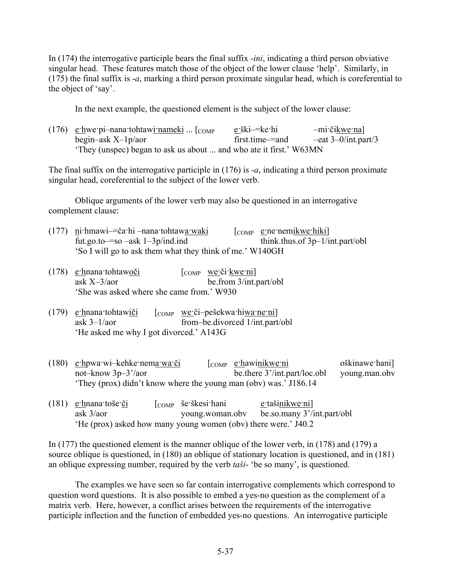In (174) the interrogative participle bears the final suffix -*ini*, indicating a third person obviative singular head. These features match those of the object of the lower clause 'help'. Similarly, in (175) the final suffix is -*a*, marking a third person proximate singular head, which is coreferential to the object of 'say'.

In the next example, the questioned element is the subject of the lower clause:

| $(176)$ e·hwe·pi-nana·tohtawi <u>·nameki</u> [COMP]                | e ški—ke hi     | -mi·čikwe·na]         |
|--------------------------------------------------------------------|-----------------|-----------------------|
| begin-ask $X$ -1 $p/a$ or                                          | first.time—=and | $-eat$ 3–0/int.part/3 |
| 'They (unspec) began to ask us about  and who ate it first.' W63MN |                 |                       |

The final suffix on the interrogative participle in (176) is -*a*, indicating a third person proximate singular head, coreferential to the subject of the lower verb.

Oblique arguments of the lower verb may also be questioned in an interrogative complement clause:

- (177) ni·hmawi— $\check{c}$ a·hi –nana·tohtawa·waki [ $_{\text{COMP}}$  e·ne·nemikwe·hiki] fut.go.to—so –ask  $1-3p/ind$ .ind think.thus.of  $3p-1/int part/obl$ 'So I will go to ask them what they think of me.' W140GH
- (178) e·hnana·tohtawoči  $\begin{bmatrix} \text{COMP} \\ \text{COMP} \end{bmatrix}$  we·či·kwe·ni] ask X–3/aor be.from 3/int.part/obl 'She was asked where she came from.' W930
- (179)  $e$ ·hnana·tohtawiči [COMP we·či-pešekwa·hiwa·ne·ni] ask 3–1/aor from–be.divorced 1/int.part/obl 'He asked me why I got divorced.' A143G
- (180) e·hpwa·wi–kehke·nema·wa·či [COMP e·hawinikwe·ni oškinawe·hani] not–know 3p–3'/aor be.there 3'/int.part/loc.obl young.man.obv 'They (prox) didn't know where the young man (obv) was.' J186.14
- (181) e·hnana·toše·či  $\lceil \text{COMP} \rceil$  še·škesi·hani <u>e</u>·tašinikwe·ni] ask 3/aor young.woman.obv be.so.many 3'/int.part/obl 'He (prox) asked how many young women (obv) there were.' J40.2

In (177) the questioned element is the manner oblique of the lower verb, in (178) and (179) a source oblique is questioned, in (180) an oblique of stationary location is questioned, and in (181) an oblique expressing number, required by the verb *taši*- 'be so many', is questioned.

The examples we have seen so far contain interrogative complements which correspond to question word questions. It is also possible to embed a yes-no question as the complement of a matrix verb. Here, however, a conflict arises between the requirements of the interrogative participle inflection and the function of embedded yes-no questions. An interrogative participle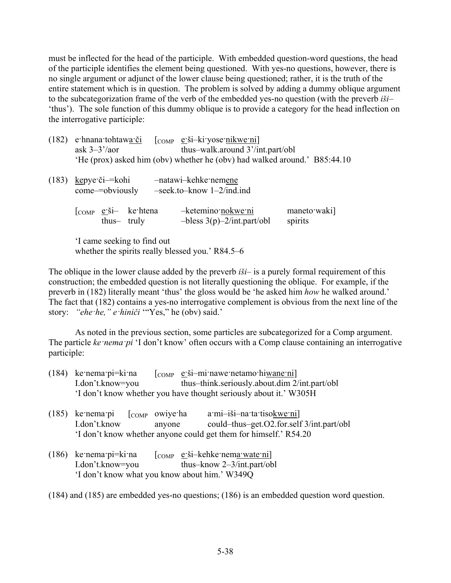must be inflected for the head of the participle. With embedded question-word questions, the head of the participle identifies the element being questioned. With yes-no questions, however, there is no single argument or adjunct of the lower clause being questioned; rather, it is the truth of the entire statement which is in question. The problem is solved by adding a dummy oblique argument to the subcategorization frame of the verb of the embedded yes-no question (with the preverb *iši*– 'thus'). The sole function of this dummy oblique is to provide a category for the head inflection on the interrogative participle:

| (182) | e hnana tohtawa či<br>ask $3-3^{\prime}/a$ or<br>'He (prox) asked him (obv) whether he (obv) had walked around.' B85:44.10                                            | $\begin{bmatrix} \text{COMP} & \text{e'}\text{Si}-\text{k} \text{i'}\text{yose-nikwe-ni} \end{bmatrix}$<br>thus-walk.around 3'/int.part/obl |                         |  |
|-------|-----------------------------------------------------------------------------------------------------------------------------------------------------------------------|---------------------------------------------------------------------------------------------------------------------------------------------|-------------------------|--|
| (183) | kepye či— kohi<br>come-=obviously                                                                                                                                     | -natawi-kehke nemene<br>$-seek.to - know 1-2/ind-ind$                                                                                       |                         |  |
|       | $\begin{bmatrix} \text{COMP} & \underline{\mathbf{e}} \cdot \underline{\mathbf{S}} \mathbf{i} - \mathbf{k} \mathbf{e} \cdot \text{htena} \end{bmatrix}$<br>thus-truly | -ketemino nokwe ni<br>$-bless 3(p)-2/intpart/obl$                                                                                           | maneto waki]<br>spirits |  |
|       | $1$ $\sim$ $\sim$ $1$                                                                                                                                                 |                                                                                                                                             |                         |  |

'I came seeking to find out whether the spirits really blessed you.' R84.5–6

The oblique in the lower clause added by the preverb *iši*– is a purely formal requirement of this construction; the embedded question is not literally questioning the oblique. For example, if the preverb in (182) literally meant 'thus' the gloss would be 'he asked him *how* he walked around.' The fact that (182) contains a yes-no interrogative complement is obvious from the next line of the story: *"ehe·he," e·hiniči* '"Yes," he (obv) said.'

As noted in the previous section, some particles are subcategorized for a Comp argument. The particle *ke·nema·pi* 'I don't know' often occurs with a Comp clause containing an interrogative participle:

| $(184)$ ke nema pi=ki na | $\begin{bmatrix} \text{COMP} & \text{e'}\text{Si}-\text{mi} \text{nave} \text{netamo} \text{hi} \text{wane} \text{ni} \end{bmatrix}$ |
|--------------------------|--------------------------------------------------------------------------------------------------------------------------------------|
| I.don't.know=you         | thus—think.seriously.about.dim 2/int.part/obl                                                                                        |
|                          | 'I don't know whether you have thought seriously about it.' W305H                                                                    |

| $(185)$ ke nema pi $\lceil$ comp owive ha |        | a·mi-iši-na·ta·tisokwe·ni]                                       |
|-------------------------------------------|--------|------------------------------------------------------------------|
| I.don't.know                              | anyone | could-thus-get. $O2$ for self $3/$ int part/obl                  |
|                                           |        | 'I don't know whether anyone could get them for himself.' R54.20 |

(186) ke·nema·pi=ki·na  $\lceil \text{COMP} \cdot e\cdot \text{Si}-\text{keh}$ ke·nema·wate·ni] I.don't.know=you thus–know 2–3/int.part/obl 'I don't know what you know about him.' W349Q

(184) and (185) are embedded yes-no questions; (186) is an embedded question word question.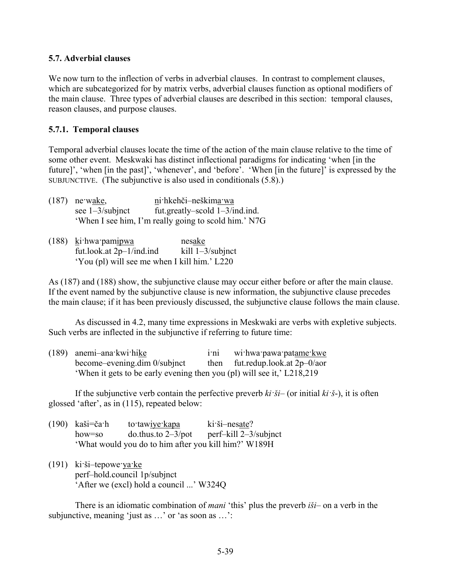#### **5.7. Adverbial clauses**

We now turn to the inflection of verbs in adverbial clauses. In contrast to complement clauses, which are subcategorized for by matrix verbs, adverbial clauses function as optional modifiers of the main clause. Three types of adverbial clauses are described in this section: temporal clauses, reason clauses, and purpose clauses.

#### **5.7.1. Temporal clauses**

Temporal adverbial clauses locate the time of the action of the main clause relative to the time of some other event. Meskwaki has distinct inflectional paradigms for indicating 'when [in the future]', 'when [in the past]', 'whenever', and 'before'. 'When [in the future]' is expressed by the SUBJUNCTIVE. (The subjunctive is also used in conditionals (5.8).)

- (187) ne·wake, ni·hkehči–neškima·wa see 1–3/subjnct fut.greatly–scold 1–3/ind.ind. 'When I see him, I'm really going to scold him.' N7G
- (188) ki·hwa·pamipwa nesake fut.look.at  $2p-1/ind$ .ind kill  $1-3/subint$ 'You (pl) will see me when I kill him.' L220

As (187) and (188) show, the subjunctive clause may occur either before or after the main clause. If the event named by the subjunctive clause is new information, the subjunctive clause precedes the main clause; if it has been previously discussed, the subjunctive clause follows the main clause.

As discussed in 4.2, many time expressions in Meskwaki are verbs with expletive subjects. Such verbs are inflected in the subjunctive if referring to future time:

| $(189)$ anemi-ana kwi hike                                             | 1 <sup>th1</sup> | wi:hwa:pawa:patame:kwe             |
|------------------------------------------------------------------------|------------------|------------------------------------|
| become-evening dim 0/subjnct                                           |                  | then fut.redup.look.at $2p-0/a$ or |
| 'When it gets to be early evening then you (pl) will see it,' L218,219 |                  |                                    |

If the subjunctive verb contain the perfective preverb  $ki \cdot \check{s}i$ – (or initial  $ki \cdot \check{s}$ -), it is often glossed 'after', as in (115), repeated below:

| $(190)$ kaši=ča·h | to tawiye kapa                                       | $ki\ddot{\text{si}}$ -nesate? |
|-------------------|------------------------------------------------------|-------------------------------|
| how=so            | $\mu$ do.thus.to 2–3/pot                             | perf-kill 2-3/subjnct         |
|                   | 'What would you do to him after you kill him?' W189H |                               |

 $(191)$  ki·ši–tepowe·ya·ke perf–hold.council 1p/subjnct 'After we (excl) hold a council ...' W324Q

There is an idiomatic combination of *mani* 'this' plus the preverb *iši*– on a verb in the subjunctive, meaning 'just as ...' or 'as soon as ...':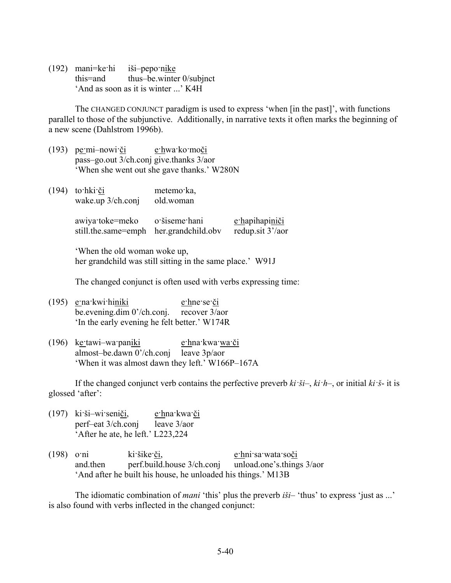(192) mani=ke·hi iši–pepo·nike this=and thus–be.winter 0/subjnct 'And as soon as it is winter ...' K4H

The CHANGED CONJUNCT paradigm is used to express 'when [in the past]', with functions parallel to those of the subjunctive. Additionally, in narrative texts it often marks the beginning of a new scene (Dahlstrom 1996b).

- (193) pe·mi–nowi·či e·hwa·ko·moči pass–go.out 3/ch.conj give.thanks 3/aor 'When she went out she gave thanks.' W280N
- (194) to·hki·či metemo·ka, wake.up 3/ch.conj old.woman

awiya·toke=meko o·šiseme·hani e·hapihapiniči still.the.same=emph her.grandchild.obv redup.sit 3'/aor

'When the old woman woke up, her grandchild was still sitting in the same place.' W91J

The changed conjunct is often used with verbs expressing time:

- (195) e·na·kwi·hiniki e·hne·se·či be.evening.dim 0'/ch.conj. recover 3/aor 'In the early evening he felt better.' W174R
- (196) ke·tawi–wa·paniki e·hna·kwa·wa·či almost–be.dawn 0'/ch.conj leave 3p/aor 'When it was almost dawn they left.' W166P–167A

If the changed conjunct verb contains the perfective preverb *ki·ši*–, *ki·h*–, or initial *ki·š*- it is glossed 'after':

- (197) ki·ši–wi·seniči, e·hna·kwa·či perf–eat 3/ch.conj leave 3/aor 'After he ate, he left.' L223,224
- (198) o·ni ki·šike·či, e·hni·sa·wata·soči and.then perf.build.house 3/ch.conj unload.one's.things 3/aor 'And after he built his house, he unloaded his things.' M13B

The idiomatic combination of *mani* 'this' plus the preverb *iši*– 'thus' to express 'just as ...' is also found with verbs inflected in the changed conjunct: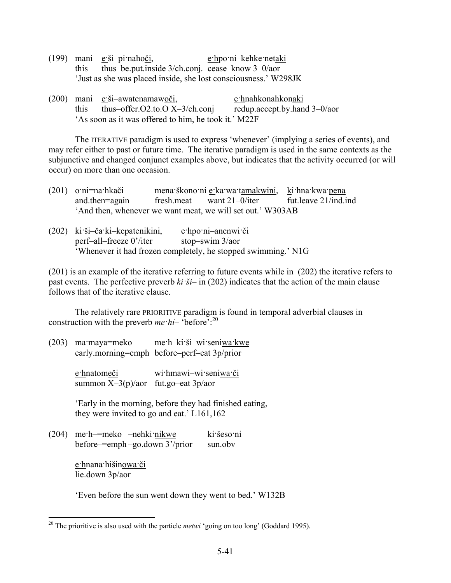|        | $(199)$ mani e ši-pi nahoči,                                    | e hpo ni-kehke netaki |
|--------|-----------------------------------------------------------------|-----------------------|
| this t | thus—be put inside $3$ /ch conj. cease—know $3-0$ /aor          |                       |
|        | 'Just as she was placed inside, she lost consciousness.' W298JK |                       |

(200) mani e·ši–awatenamawoči, e·hnahkonahkonaki this thus–offer.O2.to.O X–3/ch.conj redup.accept.by.hand 3–0/aor 'As soon as it was offered to him, he took it.' M22F

The ITERATIVE paradigm is used to express 'whenever' (implying a series of events), and may refer either to past or future time. The iterative paradigm is used in the same contexts as the subjunctive and changed conjunct examples above, but indicates that the activity occurred (or will occur) on more than one occasion.

| $(201)$ o·ni=na·hkači | mena škono ni e ka wa tamakwini, ki hna kwa pena           |                      |
|-----------------------|------------------------------------------------------------|----------------------|
| and then=again        | fresh.meat want $21-0$ /iter                               | fut.leave 21/ind.ind |
|                       | 'And then, whenever we want meat, we will set out.' W303AB |                      |

| (202) ki ši-ča ki-kepatenikini, | $e$ ·hpo·ni-anenwi·či                                         |
|---------------------------------|---------------------------------------------------------------|
| perf-all-freeze 0'/iter         | stop-swim 3/aor                                               |
|                                 | 'Whenever it had frozen completely, he stopped swimming.' N1G |

(201) is an example of the iterative referring to future events while in (202) the iterative refers to past events. The perfective preverb *ki·ši*– in (202) indicates that the action of the main clause follows that of the iterative clause.

The relatively rare PRIORITIVE paradigm is found in temporal adverbial clauses in construction with the preverb *me*  $hi$ – 'before':<sup>20</sup>

(203) ma·maya=meko me·h–ki·ši–wi·seniwa·kwe early.morning=emph before–perf–eat 3p/prior

> e·hnatomeči wi·hmawi–wi·seniwa·či summon  $X-3(p)/a$ or fut.go-eat  $3p/a$ or

'Early in the morning, before they had finished eating, they were invited to go and eat.' L161,162

(204) me·h–=meko –nehki·nikwe ki·šeso·ni before–=emph –go.down 3'/prior sun.obv

> e·hnana·hišinowa·či lie.down 3p/aor

<u>.</u>

'Even before the sun went down they went to bed.' W132B

<sup>&</sup>lt;sup>20</sup> The prioritive is also used with the particle *metwi* 'going on too long' (Goddard 1995).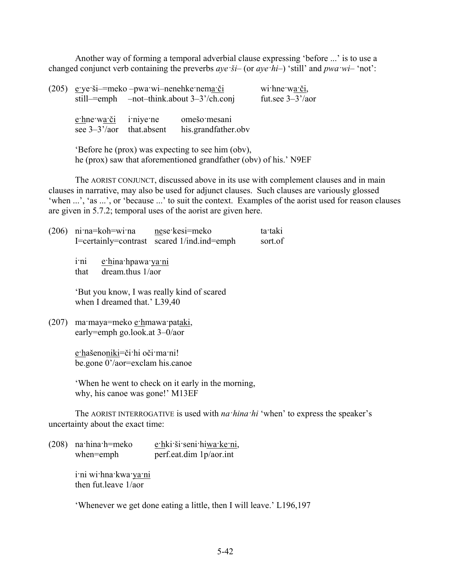Another way of forming a temporal adverbial clause expressing 'before ...' is to use a changed conjunct verb containing the preverbs *aye·ši*– (or *aye·hi*–) 'still' and *pwa·wi*– 'not':

| (205) eye ši— meko – pwa wi— nenehke nema či      | still— $=$ emph —not-think.about 3-3'/ch.conj | wi hne wa či,<br>fut.see $3-3^2/200$ |  |
|---------------------------------------------------|-----------------------------------------------|--------------------------------------|--|
| e hne wa či i nive ne<br>see $3-3'/a$ that absent |                                               | omešo mesani<br>his.grandfather.obv  |  |

'Before he (prox) was expecting to see him (obv), he (prox) saw that aforementioned grandfather (obv) of his.' N9EF

The AORIST CONJUNCT, discussed above in its use with complement clauses and in main clauses in narrative, may also be used for adjunct clauses. Such clauses are variously glossed 'when ...', 'as ...', or 'because ...' to suit the context. Examples of the aorist used for reason clauses are given in 5.7.2; temporal uses of the aorist are given here.

| (206) | ni na=koh=wi na mese kesi=meko                                                  | I=certainly=contrast scared 1/ind.ind=emph        | ta taki<br>sort.of                                                                      |  |  |  |  |
|-------|---------------------------------------------------------------------------------|---------------------------------------------------|-----------------------------------------------------------------------------------------|--|--|--|--|
|       | e hina hpawa ya ni<br>$1^{\circ}$ n <sub>1</sub><br>dream thus $1/a$ or<br>that |                                                   |                                                                                         |  |  |  |  |
|       | 'But you know, I was really kind of scared<br>when I dreamed that.' L39,40      |                                                   |                                                                                         |  |  |  |  |
| (207) | ma maya=meko e hmawa pataki,<br>early=emph go.look.at $3-0$ /aor                |                                                   |                                                                                         |  |  |  |  |
|       | e hašenoniki=či hi oči ma ni!<br>be gone $0$ '/aor=exclam his canoe             |                                                   |                                                                                         |  |  |  |  |
|       | why, his canoe was gone!' M13EF                                                 | When he went to check on it early in the morning, |                                                                                         |  |  |  |  |
|       | uncertainty about the exact time:                                               |                                                   | The AORIST INTERROGATIVE is used with <i>na hina hi</i> 'when' to express the speaker's |  |  |  |  |
|       |                                                                                 |                                                   |                                                                                         |  |  |  |  |

(208) na·hina·h=meko e·hki·ši·seni·hiwa·ke·ni, when=emph perf.eat.dim 1p/aor.int

> i·ni wi·hna·kwa·ya·ni then fut leave  $1/a$ or

'Whenever we get done eating a little, then I will leave.' L196,197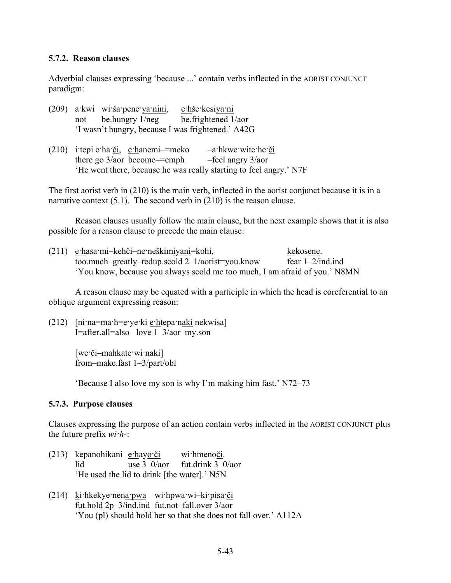#### **5.7.2. Reason clauses**

Adverbial clauses expressing 'because ...' contain verbs inflected in the AORIST CONJUNCT paradigm:

- (209) a·kwi wi·ša·pene·ya·nini, e·hše·kesiya·ni not be.hungry 1/neg be.frightened 1/aor 'I wasn't hungry, because I was frightened.' A42G
- (210) i·tepi e·ha·či, e·hanemi–=meko –a·hkwe·wite·he·či there go  $3/a$ or become—=emph —feel angry  $3/a$ or 'He went there, because he was really starting to feel angry.' N7F

The first aorist verb in (210) is the main verb, inflected in the aorist conjunct because it is in a narrative context  $(5.1)$ . The second verb in  $(210)$  is the reason clause.

Reason clauses usually follow the main clause, but the next example shows that it is also possible for a reason clause to precede the main clause:

| (211) e·hasa·mi-kehči-ne·neškimiyani=kohi,                                 | kekosene.           |
|----------------------------------------------------------------------------|---------------------|
| too.much-greatly-redup.scold $2-1/aorist$ -you.know                        | fear $1-2$ /ind.ind |
| 'You know, because you always scold me too much, I am afraid of you.' N8MN |                     |

A reason clause may be equated with a participle in which the head is coreferential to an oblique argument expressing reason:

(212)  $\lceil \text{ni} \cdot \text{na} = \text{ma} \cdot \text{h} = \text{even} \cdot \text{ne} \cdot \text{ne} \cdot \text{ne} \cdot \text{ne} \cdot \text{ne} \cdot \text{ne} \cdot \text{ne} \cdot \text{ne} \cdot \text{ne} \cdot \text{ne} \cdot \text{ne} \cdot \text{ne} \cdot \text{ne} \cdot \text{ne} \cdot \text{ne} \cdot \text{ne} \cdot \text{ne} \cdot \text{ne} \cdot \text{ne} \cdot \text{ne} \cdot \text{ne} \cdot \text{ne} \cdot \text{ne} \cdot \text{ne} \cdot \text{ne} \cdot \text{$ I=after.all=also love 1–3/aor my.son

> [we·či–mahkate·wi·naki] from–make.fast 1–3/part/obl

'Because I also love my son is why I'm making him fast.' N72–73

#### **5.7.3. Purpose clauses**

Clauses expressing the purpose of an action contain verbs inflected in the AORIST CONJUNCT plus the future prefix *wi·h*-:

- (213) kepanohikani e·hayo·či wi·hmenoči. lid use 3–0/aor fut.drink 3–0/aor 'He used the lid to drink [the water].' N5N
- (214) ki·hkekye·nena·pwa wi·hpwa·wi–ki·pisa·či fut.hold 2p–3/ind.ind fut.not–fall.over 3/aor 'You (pl) should hold her so that she does not fall over.' A112A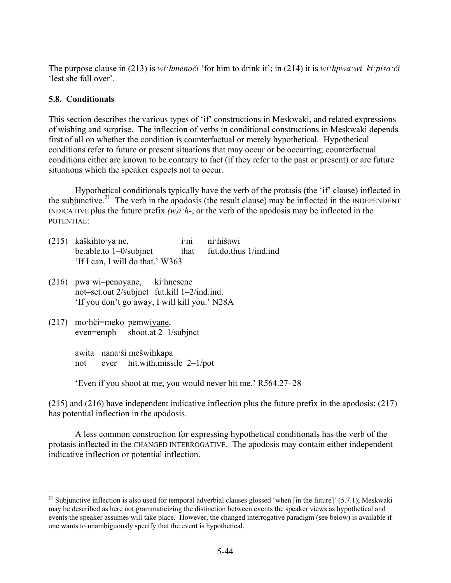The purpose clause in (213) is *wi·hmenoči* 'for him to drink it'; in (214) it is *wi·hpwa·wi–ki·pisa·či* 'lest she fall over'.

## **5.8. Conditionals**

This section describes the various types of 'if' constructions in Meskwaki, and related expressions of wishing and surprise. The inflection of verbs in conditional constructions in Meskwaki depends first of all on whether the condition is counterfactual or merely hypothetical. Hypothetical conditions refer to future or present situations that may occur or be occurring; counterfactual conditions either are known to be contrary to fact (if they refer to the past or present) or are future situations which the speaker expects not to occur.

Hypothetical conditionals typically have the verb of the protasis (the 'if' clause) inflected in the subjunctive.<sup>21</sup> The verb in the apodosis (the result clause) may be inflected in the INDEPENDENT INDICATIVE plus the future prefix *(w)i·h*-, or the verb of the apodosis may be inflected in the POTENTIAL:

- (215) kaškihto·ya·ne, i·ni ni·hišawi be.able.to 1–0/subjnct that fut.do.thus 1/ind.ind 'If I can, I will do that.' W363
- (216) pwa·wi–penoyane, ki·hnesene not–set.out 2/subjnct fut.kill 1–2/ind.ind. 'If you don't go away, I will kill you.' N28A
- (217) mo·hči=meko pemwiyane, even=emph shoot.at 2–1/subjnct

<u>.</u>

awita nana·ši mešwihkapa not ever hit.with.missile 2–1/pot

'Even if you shoot at me, you would never hit me.' R564.27–28

(215) and (216) have independent indicative inflection plus the future prefix in the apodosis; (217) has potential inflection in the apodosis.

A less common construction for expressing hypothetical conditionals has the verb of the protasis inflected in the CHANGED INTERROGATIVE. The apodosis may contain either independent indicative inflection or potential inflection.

<sup>&</sup>lt;sup>21</sup> Subjunctive inflection is also used for temporal adverbial clauses glossed 'when [in the future]' (5.7.1); Meskwaki may be described as here not grammaticizing the distinction between events the speaker views as hypothetical and events the speaker assumes will take place. However, the changed interrogative paradigm (see below) is available if one wants to unambiguously specify that the event is hypothetical.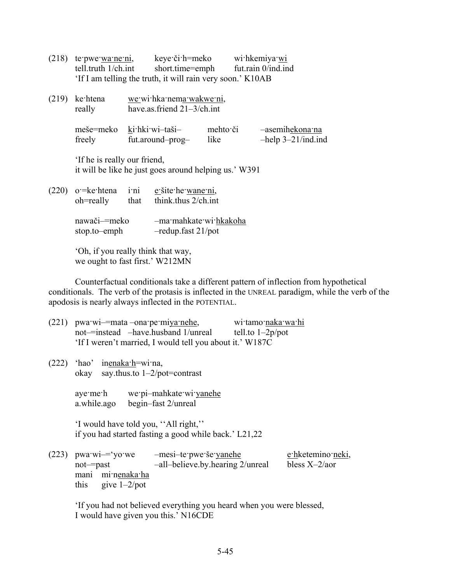| $(218)$ te pwe wa ne ni,<br>$t$ ell.truth $1$ / $ch$ .int |                                                        | keye či h=meko wi hkemiya wi<br>short.time=emph fut.rain 0/ind.ind<br>'If I am telling the truth, it will rain very soon.' K10AB |  |                                             |
|-----------------------------------------------------------|--------------------------------------------------------|----------------------------------------------------------------------------------------------------------------------------------|--|---------------------------------------------|
| $(219)$ ke htena<br>really                                | we wi hka nema wakwe ni,<br>have.as.friend 21-3/ch.int |                                                                                                                                  |  |                                             |
| freely                                                    |                                                        | meše=meko ki hki wi-taši-<br>mehto či<br>fut.around-prog- like                                                                   |  | -asemihekona na<br>$-$ help $3-21$ /ind.ind |
| If he is really our friend,                               |                                                        | it will be like he just goes around helping us.' W391                                                                            |  |                                             |
| $(220)$ o = ke htena i ni e šite he wane ni,<br>oh=really | that                                                   | think thus $2$ /ch int                                                                                                           |  |                                             |
| nawači—=meko<br>stop.to-emph                              |                                                        | -ma·mahkate·wi·hkakoha<br>$-$ redup.fast 21/pot                                                                                  |  |                                             |
|                                                           |                                                        |                                                                                                                                  |  |                                             |

'Oh, if you really think that way, we ought to fast first.' W212MN

Counterfactual conditionals take a different pattern of inflection from hypothetical conditionals. The verb of the protasis is inflected in the UNREAL paradigm, while the verb of the apodosis is nearly always inflected in the POTENTIAL.

| $(221)$ pwa wi-=mata -ona pe miya nehe,<br>$not$ =instead $-$ have.husband 1/unreal     | 'If I weren't married, I would tell you about it.' W187C   | wi tamo naka wa hi<br>tell.to $1-2p$ /pot |                                    |
|-----------------------------------------------------------------------------------------|------------------------------------------------------------|-------------------------------------------|------------------------------------|
| $(222)$ 'hao' inenaka h=wi na,<br>okay say thus to $1-2$ /pot=contrast                  |                                                            |                                           |                                    |
| aye me h we pi-mahkate wi yanehe<br>a.while.ago begin-fast 2/unreal                     |                                                            |                                           |                                    |
| 'I would have told you, "All right,"                                                    | if you had started fasting a good while back.' L21,22      |                                           |                                    |
| $(223)$ pwa $w_i = \gamma o$ we<br>not-past<br>mani minenaka ha<br>this give $1-2$ /pot | -mesi-te pwe še yanehe<br>-all-believe.by.hearing 2/unreal |                                           | e hketemino neki,<br>bless $X-2/a$ |

'If you had not believed everything you heard when you were blessed, I would have given you this.' N16CDE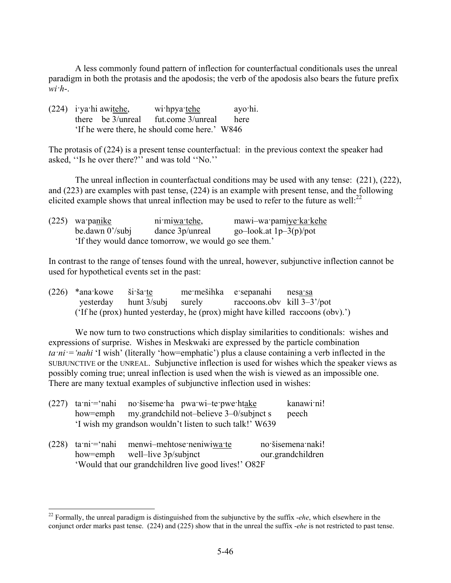A less commonly found pattern of inflection for counterfactual conditionals uses the unreal paradigm in both the protasis and the apodosis; the verb of the apodosis also bears the future prefix  $wi<sup>i</sup>$ 

| $(224)$ i ya hi awitehe,                      |  | wi:hpya: tehe                             | ayo·hi. |
|-----------------------------------------------|--|-------------------------------------------|---------|
|                                               |  | there be $3/$ unreal fut.come $3/$ unreal | here    |
| 'If he were there, he should come here.' W846 |  |                                           |         |

The protasis of (224) is a present tense counterfactual: in the previous context the speaker had asked, ''Is he over there?'' and was told ''No.''

The unreal inflection in counterfactual conditions may be used with any tense: (221), (222), and (223) are examples with past tense, (224) is an example with present tense, and the following elicited example shows that unreal inflection may be used to refer to the future as well: $^{22}$ 

| $(225)$ wa panike                                    | ni miwa tehe,   | mawi-wa pamiye ka kehe   |  |  |  |
|------------------------------------------------------|-----------------|--------------------------|--|--|--|
| be.dawn $0^{\prime}$ /subj                           | dance 3p/unreal | go-look.at $1p-3(p)/pot$ |  |  |  |
| If they would dance tomorrow, we would go see them.' |                 |                          |  |  |  |

In contrast to the range of tenses found with the unreal, however, subjunctive inflection cannot be used for hypothetical events set in the past:

| $(226)$ *ana kowe ši ša te |  | me mešihka e sepanahi nes <u>a sa</u>                          |                                                                                |
|----------------------------|--|----------------------------------------------------------------|--------------------------------------------------------------------------------|
|                            |  | yesterday hunt $3$ /subj surely raccoons.obv kill $3-3^2$ /pot |                                                                                |
|                            |  |                                                                | ('If he (prox) hunted yesterday, he (prox) might have killed raccoons (obv).') |

We now turn to two constructions which display similarities to conditionals: wishes and expressions of surprise. Wishes in Meskwaki are expressed by the particle combination *ta·ni·='nahi* 'I wish' (literally 'how=emphatic') plus a clause containing a verb inflected in the SUBJUNCTIVE or the UNREAL. Subjunctive inflection is used for wishes which the speaker views as possibly coming true; unreal inflection is used when the wish is viewed as an impossible one. There are many textual examples of subjunctive inflection used in wishes:

|                                                         | $(227)$ ta·ni <sup>-s</sup> nahi no·šiseme·ha pwa·wi-te·pwe·htake | kanawi ni! |  |  |
|---------------------------------------------------------|-------------------------------------------------------------------|------------|--|--|
|                                                         | how=emph my.grandchild not-believe 3-0/subjnct s                  | peech      |  |  |
| 'I wish my grandson wouldn't listen to such talk!' W639 |                                                                   |            |  |  |

|                                                      | $(228)$ ta:ni:= nahi menwi-mehtose neniwiwa: te | no šisemena naki! |  |
|------------------------------------------------------|-------------------------------------------------|-------------------|--|
|                                                      | how=emph well-live 3p/subjnct                   | our.grandchildren |  |
| 'Would that our grandchildren live good lives!' O82F |                                                 |                   |  |

1

<sup>22</sup> Formally, the unreal paradigm is distinguished from the subjunctive by the suffix -*ehe*, which elsewhere in the conjunct order marks past tense. (224) and (225) show that in the unreal the suffix -*ehe* is not restricted to past tense.